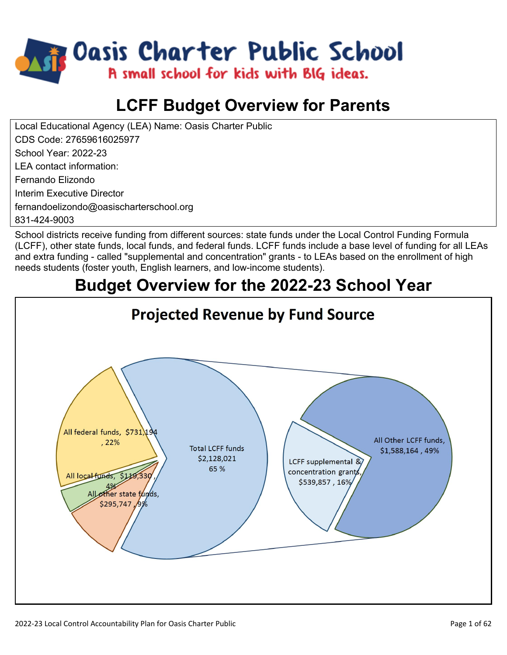

# **LCFF Budget Overview for Parents**

Local Educational Agency (LEA) Name: Oasis Charter Public CDS Code: 27659616025977 School Year: 2022-23 LEA contact information:

Fernando Elizondo

Interim Executive Director

fernandoelizondo@oasischarterschool.org

831-424-9003

School districts receive funding from different sources: state funds under the Local Control Funding Formula (LCFF), other state funds, local funds, and federal funds. LCFF funds include a base level of funding for all LEAs and extra funding - called "supplemental and concentration" grants - to LEAs based on the enrollment of high needs students (foster youth, English learners, and low-income students).

# **Budget Overview for the 2022-23 School Year**

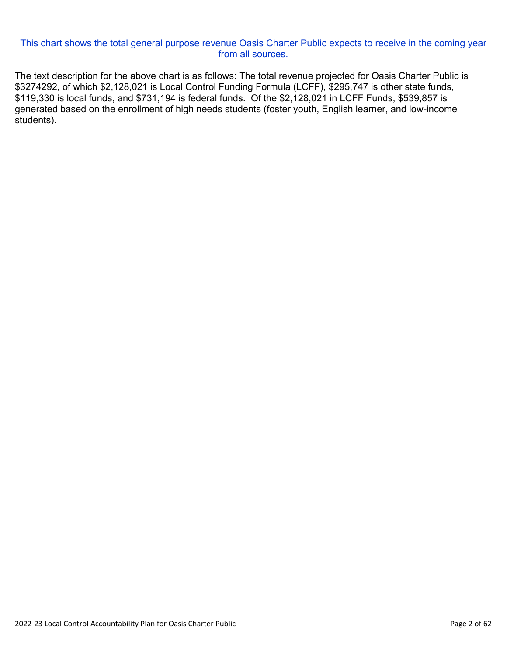#### This chart shows the total general purpose revenue Oasis Charter Public expects to receive in the coming year from all sources.

The text description for the above chart is as follows: The total revenue projected for Oasis Charter Public is \$3274292, of which \$2,128,021 is Local Control Funding Formula (LCFF), \$295,747 is other state funds, \$119,330 is local funds, and \$731,194 is federal funds. Of the \$2,128,021 in LCFF Funds, \$539,857 is generated based on the enrollment of high needs students (foster youth, English learner, and low-income students).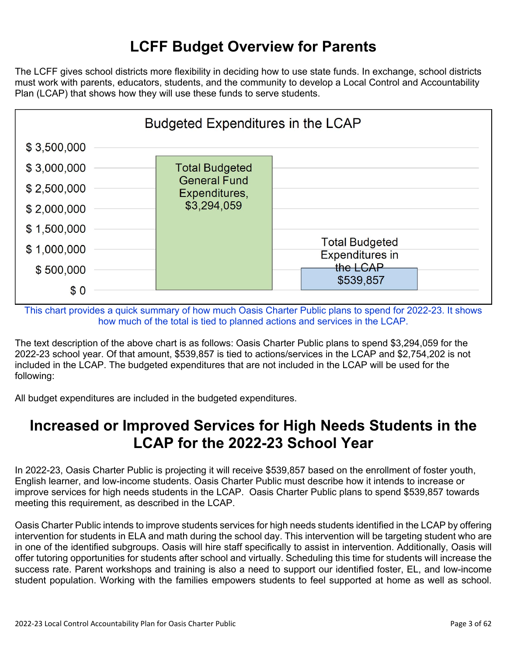## **LCFF Budget Overview for Parents**

The LCFF gives school districts more flexibility in deciding how to use state funds. In exchange, school districts must work with parents, educators, students, and the community to develop a Local Control and Accountability Plan (LCAP) that shows how they will use these funds to serve students.



This chart provides a quick summary of how much Oasis Charter Public plans to spend for 2022-23. It shows how much of the total is tied to planned actions and services in the LCAP.

The text description of the above chart is as follows: Oasis Charter Public plans to spend \$3,294,059 for the 2022-23 school year. Of that amount, \$539,857 is tied to actions/services in the LCAP and \$2,754,202 is not included in the LCAP. The budgeted expenditures that are not included in the LCAP will be used for the following:

All budget expenditures are included in the budgeted expenditures.

### **Increased or Improved Services for High Needs Students in the LCAP for the 2022-23 School Year**

In 2022-23, Oasis Charter Public is projecting it will receive \$539,857 based on the enrollment of foster youth, English learner, and low-income students. Oasis Charter Public must describe how it intends to increase or improve services for high needs students in the LCAP. Oasis Charter Public plans to spend \$539,857 towards meeting this requirement, as described in the LCAP.

Oasis Charter Public intends to improve students services for high needs students identified in the LCAP by offering intervention for students in ELA and math during the school day. This intervention will be targeting student who are in one of the identified subgroups. Oasis will hire staff specifically to assist in intervention. Additionally, Oasis will offer tutoring opportunities for students after school and virtually. Scheduling this time for students will increase the success rate. Parent workshops and training is also a need to support our identified foster, EL, and low-income student population. Working with the families empowers students to feel supported at home as well as school.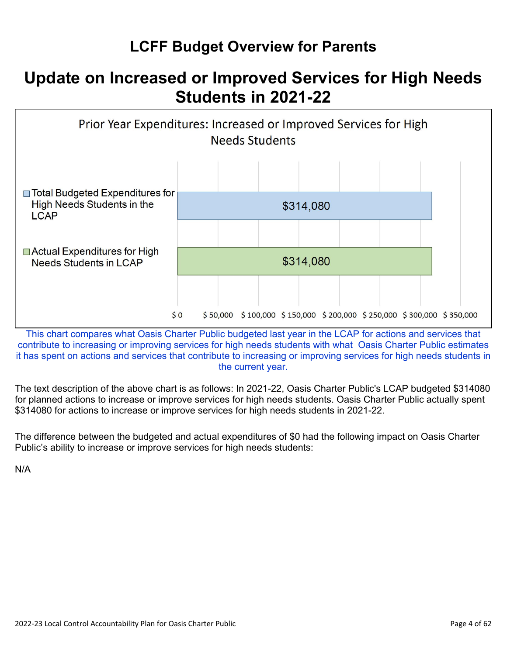# **LCFF Budget Overview for Parents**

# **Update on Increased or Improved Services for High Needs Students in 2021-22**



This chart compares what Oasis Charter Public budgeted last year in the LCAP for actions and services that contribute to increasing or improving services for high needs students with what Oasis Charter Public estimates it has spent on actions and services that contribute to increasing or improving services for high needs students in the current year.

The text description of the above chart is as follows: In 2021-22, Oasis Charter Public's LCAP budgeted \$314080 for planned actions to increase or improve services for high needs students. Oasis Charter Public actually spent \$314080 for actions to increase or improve services for high needs students in 2021-22.

The difference between the budgeted and actual expenditures of \$0 had the following impact on Oasis Charter Public's ability to increase or improve services for high needs students:

N/A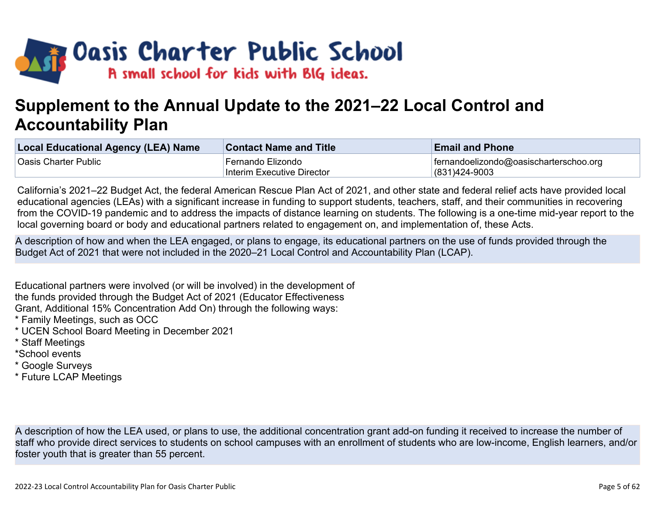

# **Supplement to the Annual Update to the 2021–22 Local Control and Accountability Plan**

| <b>Local Educational Agency (LEA) Name</b> | <b>Contact Name and Title</b> | <b>Email and Phone</b>                 |
|--------------------------------------------|-------------------------------|----------------------------------------|
| Oasis Charter Public                       | Fernando Elizondo             | fernandoelizondo@oasischarterschoo.org |
|                                            | Interim Executive Director    | $ (831)424-9003$                       |

California's 2021–22 Budget Act, the federal American Rescue Plan Act of 2021, and other state and federal relief acts have provided local educational agencies (LEAs) with a significant increase in funding to support students, teachers, staff, and their communities in recovering from the COVID-19 pandemic and to address the impacts of distance learning on students. The following is a one-time mid-year report to the local governing board or body and educational partners related to engagement on, and implementation of, these Acts.

A description of how and when the LEA engaged, or plans to engage, its educational partners on the use of funds provided through the Budget Act of 2021 that were not included in the 2020–21 Local Control and Accountability Plan (LCAP).

Educational partners were involved (or will be involved) in the development of the funds provided through the Budget Act of 2021 (Educator Effectiveness Grant, Additional 15% Concentration Add On) through the following ways:

- \* Family Meetings, such as OCC
- \* UCEN School Board Meeting in December 2021
- \* Staff Meetings
- \*School events
- \* Google Surveys
- \* Future LCAP Meetings

A description of how the LEA used, or plans to use, the additional concentration grant add-on funding it received to increase the number of staff who provide direct services to students on school campuses with an enrollment of students who are low-income, English learners, and/or foster youth that is greater than 55 percent.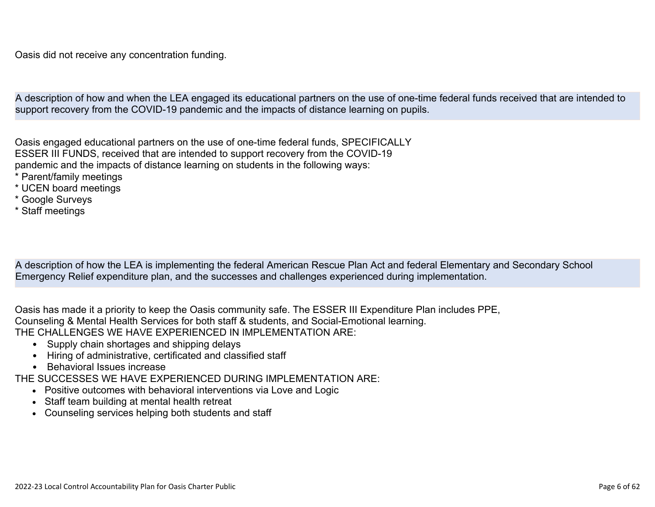A description of how and when the LEA engaged its educational partners on the use of one-time federal funds received that are intended to support recovery from the COVID-19 pandemic and the impacts of distance learning on pupils.

Oasis engaged educational partners on the use of one-time federal funds, SPECIFICALLY ESSER III FUNDS, received that are intended to support recovery from the COVID-19 pandemic and the impacts of distance learning on students in the following ways:

- \* Parent/family meetings
- \* UCEN board meetings
- \* Google Surveys
- \* Staff meetings

A description of how the LEA is implementing the federal American Rescue Plan Act and federal Elementary and Secondary School Emergency Relief expenditure plan, and the successes and challenges experienced during implementation.

Oasis has made it a priority to keep the Oasis community safe. The ESSER III Expenditure Plan includes PPE, Counseling & Mental Health Services for both staff & students, and Social-Emotional learning. THE CHALLENGES WE HAVE EXPERIENCED IN IMPLEMENTATION ARE:

- Supply chain shortages and shipping delays
- Hiring of administrative, certificated and classified staff
- Behavioral Issues increase

THE SUCCESSES WE HAVE EXPERIENCED DURING IMPLEMENTATION ARE:

- Positive outcomes with behavioral interventions via Love and Logic
- Staff team building at mental health retreat
- Counseling services helping both students and staff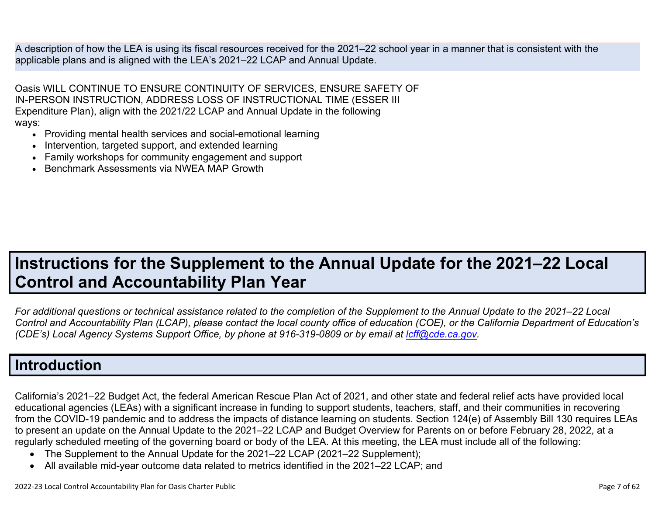A description of how the LEA is using its fiscal resources received for the 2021–22 school year in a manner that is consistent with the applicable plans and is aligned with the LEA's 2021–22 LCAP and Annual Update.

Oasis WILL CONTINUE TO ENSURE CONTINUITY OF SERVICES, ENSURE SAFETY OF IN-PERSON INSTRUCTION, ADDRESS LOSS OF INSTRUCTIONAL TIME (ESSER III Expenditure Plan), align with the 2021/22 LCAP and Annual Update in the following ways:

- Providing mental health services and social-emotional learning
- Intervention, targeted support, and extended learning
- Family workshops for community engagement and support
- Benchmark Assessments via NWEA MAP Growth

# **Instructions for the Supplement to the Annual Update for the 2021–22 Local Control and Accountability Plan Year**

*For additional questions or technical assistance related to the completion of the Supplement to the Annual Update to the 2021–22 Local Control and Accountability Plan (LCAP), please contact the local county office of education (COE), or the California Department of Education's (CDE's)* Local Agency Systems Support Office, by phone at 916-319-0809 or by email at *[lcff@cde.ca.gov](mailto:lcff@cde.ca.gov)*.

## **Introduction**

California's 2021–22 Budget Act, the federal American Rescue Plan Act of 2021, and other state and federal relief acts have provided local educational agencies (LEAs) with a significant increase in funding to support students, teachers, staff, and their communities in recovering from the COVID-19 pandemic and to address the impacts of distance learning on students. Section 124(e) of Assembly Bill 130 requires LEAs to present an update on the Annual Update to the 2021–22 LCAP and Budget Overview for Parents on or before February 28, 2022, at a regularly scheduled meeting of the governing board or body of the LEA. At this meeting, the LEA must include all of the following:

- The Supplement to the Annual Update for the 2021–22 LCAP (2021–22 Supplement);
- All available mid-year outcome data related to metrics identified in the 2021–22 LCAP; and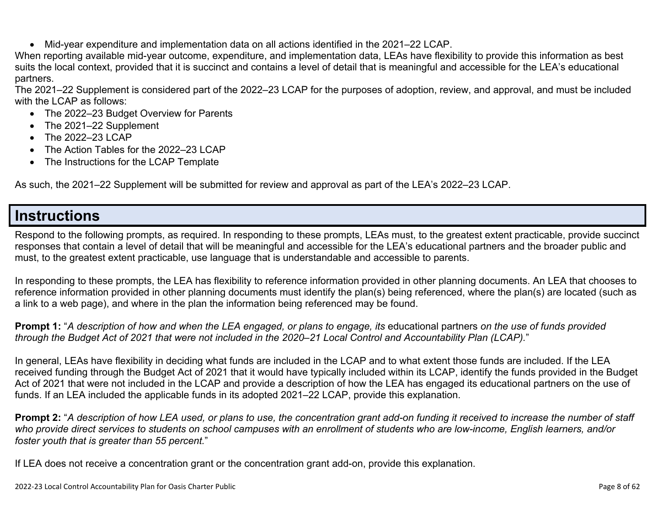• Mid-year expenditure and implementation data on all actions identified in the 2021–22 LCAP.

When reporting available mid-year outcome, expenditure, and implementation data, LEAs have flexibility to provide this information as best suits the local context, provided that it is succinct and contains a level of detail that is meaningful and accessible for the LEA's educational partners.

The 2021–22 Supplement is considered part of the 2022–23 LCAP for the purposes of adoption, review, and approval, and must be included with the LCAP as follows:

- The 2022–23 Budget Overview for Parents
- The 2021–22 Supplement
- The 2022-23 LCAP
- The Action Tables for the 2022–23 LCAP
- The Instructions for the LCAP Template

As such, the 2021–22 Supplement will be submitted for review and approval as part of the LEA's 2022–23 LCAP.

### **Instructions**

Respond to the following prompts, as required. In responding to these prompts, LEAs must, to the greatest extent practicable, provide succinct responses that contain a level of detail that will be meaningful and accessible for the LEA's educational partners and the broader public and must, to the greatest extent practicable, use language that is understandable and accessible to parents.

In responding to these prompts, the LEA has flexibility to reference information provided in other planning documents. An LEA that chooses to reference information provided in other planning documents must identify the plan(s) being referenced, where the plan(s) are located (such as a link to a web page), and where in the plan the information being referenced may be found.

**Prompt 1:** "*A description of how and when the LEA engaged, or plans to engage, its* educational partners *on the use of funds provided through the Budget Act of 2021 that were not included in the 2020–21 Local Control and Accountability Plan (LCAP).*"

In general, LEAs have flexibility in deciding what funds are included in the LCAP and to what extent those funds are included. If the LEA received funding through the Budget Act of 2021 that it would have typically included within its LCAP, identify the funds provided in the Budget Act of 2021 that were not included in the LCAP and provide a description of how the LEA has engaged its educational partners on the use of funds. If an LEA included the applicable funds in its adopted 2021–22 LCAP, provide this explanation.

**Prompt 2:** "*A description of how LEA used, or plans to use, the concentration grant add-on funding it received to increase the number of staff who provide direct services to students on school campuses with an enrollment of students who are low-income, English learners, and/or foster youth that is greater than 55 percent.*"

If LEA does not receive a concentration grant or the concentration grant add-on, provide this explanation.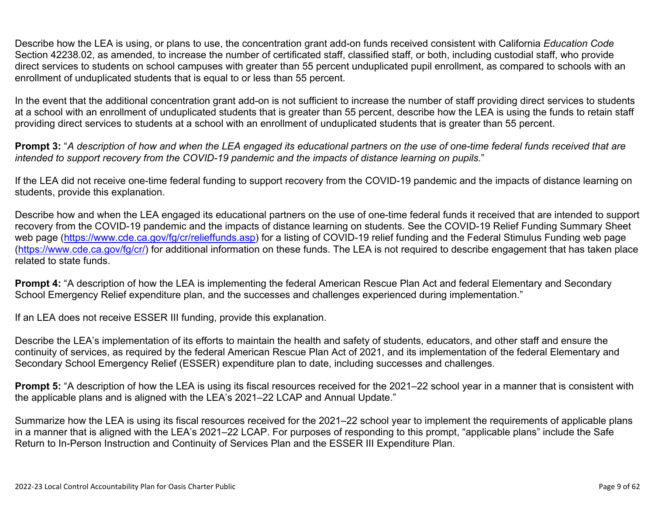Describe how the LEA is using, or plans to use, the concentration grant add-on funds received consistent with California *Education Code* Section 42238.02, as amended, to increase the number of certificated staff, classified staff, or both, including custodial staff, who provide direct services to students on school campuses with greater than 55 percent unduplicated pupil enrollment, as compared to schools with an enrollment of unduplicated students that is equal to or less than 55 percent.

In the event that the additional concentration grant add-on is not sufficient to increase the number of staff providing direct services to students at a school with an enrollment of unduplicated students that is greater than 55 percent, describe how the LEA is using the funds to retain staff providing direct services to students at a school with an enrollment of unduplicated students that is greater than 55 percent.

**Prompt 3:** "*A description of how and when the LEA engaged its educational partners on the use of one-time federal funds received that are intended to support recovery from the COVID-19 pandemic and the impacts of distance learning on pupils.*"

If the LEA did not receive one-time federal funding to support recovery from the COVID-19 pandemic and the impacts of distance learning on students, provide this explanation.

Describe how and when the LEA engaged its educational partners on the use of one-time federal funds it received that are intended to support recovery from the COVID-19 pandemic and the impacts of distance learning on students. See the COVID-19 Relief Funding Summary Sheet web page [\(https://www.cde.ca.gov/fg/cr/relieffunds.asp\)](https://www.cde.ca.gov/fg/cr/relieffunds.asp) for a listing of COVID-19 relief funding and the Federal Stimulus Funding web page (<https://www.cde.ca.gov/fg/cr/>) for additional information on these funds. The LEA is not required to describe engagement that has taken place related to state funds.

**Prompt 4:** "A description of how the LEA is implementing the federal American Rescue Plan Act and federal Elementary and Secondary School Emergency Relief expenditure plan, and the successes and challenges experienced during implementation."

If an LEA does not receive ESSER III funding, provide this explanation.

Describe the LEA's implementation of its efforts to maintain the health and safety of students, educators, and other staff and ensure the continuity of services, as required by the federal American Rescue Plan Act of 2021, and its implementation of the federal Elementary and Secondary School Emergency Relief (ESSER) expenditure plan to date, including successes and challenges.

**Prompt 5:** "A description of how the LEA is using its fiscal resources received for the 2021–22 school year in a manner that is consistent with the applicable plans and is aligned with the LEA's 2021–22 LCAP and Annual Update."

Summarize how the LEA is using its fiscal resources received for the 2021–22 school year to implement the requirements of applicable plans in a manner that is aligned with the LEA's 2021–22 LCAP. For purposes of responding to this prompt, "applicable plans" include the Safe Return to In-Person Instruction and Continuity of Services Plan and the ESSER III Expenditure Plan.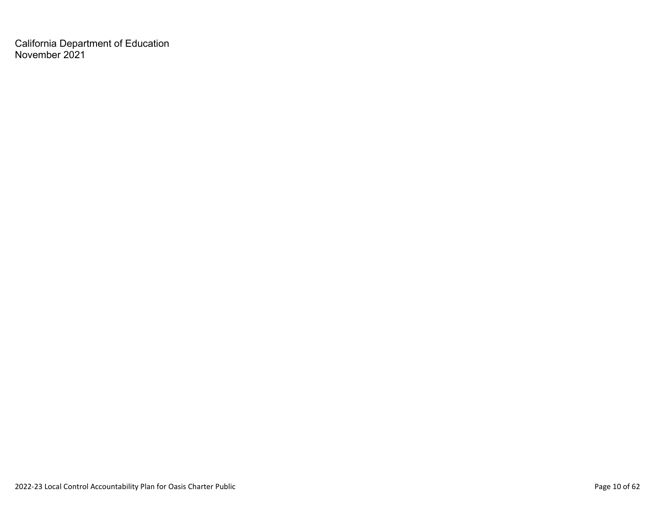California Department of Education November 2021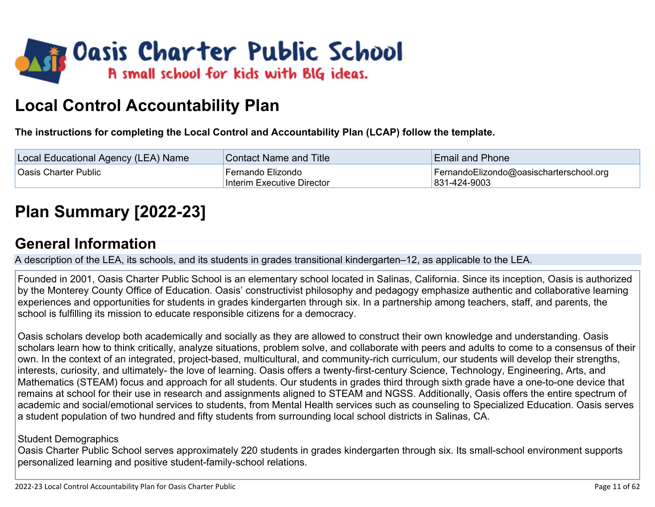

# **Local Control Accountability Plan**

**The instructions for completing the Local Control and Accountability Plan (LCAP) follow the template.**

| Local Educational Agency (LEA) Name | <b>Contact Name and Title</b>                   | <b>Email and Phone</b>                                  |
|-------------------------------------|-------------------------------------------------|---------------------------------------------------------|
| Oasis Charter Public                | Fernando Elizondo<br>Interim Executive Director | FernandoElizondo@oasischarterschool.org<br>831-424-9003 |

# **[Plan Summary \[2022-23\]](http://www.doc-tracking.com/screenshots/22LCAP/Instructions/22LCAPInstructions.htm#PlanSummary)**

## **[General Information](http://www.doc-tracking.com/screenshots/22LCAP/Instructions/22LCAPInstructions.htm#generalinformation)**

A description of the LEA, its schools, and its students in grades transitional kindergarten–12, as applicable to the LEA.

Founded in 2001, Oasis Charter Public School is an elementary school located in Salinas, California. Since its inception, Oasis is authorized by the Monterey County Office of Education. Oasis' constructivist philosophy and pedagogy emphasize authentic and collaborative learning experiences and opportunities for students in grades kindergarten through six. In a partnership among teachers, staff, and parents, the school is fulfilling its mission to educate responsible citizens for a democracy.

Oasis scholars develop both academically and socially as they are allowed to construct their own knowledge and understanding. Oasis scholars learn how to think critically, analyze situations, problem solve, and collaborate with peers and adults to come to a consensus of their own. In the context of an integrated, project-based, multicultural, and community-rich curriculum, our students will develop their strengths, interests, curiosity, and ultimately- the love of learning. Oasis offers a twenty-first-century Science, Technology, Engineering, Arts, and Mathematics (STEAM) focus and approach for all students. Our students in grades third through sixth grade have a one-to-one device that remains at school for their use in research and assignments aligned to STEAM and NGSS. Additionally, Oasis offers the entire spectrum of academic and social/emotional services to students, from Mental Health services such as counseling to Specialized Education. Oasis serves a student population of two hundred and fifty students from surrounding local school districts in Salinas, CA.

#### Student Demographics

Oasis Charter Public School serves approximately 220 students in grades kindergarten through six. Its small-school environment supports personalized learning and positive student-family-school relations.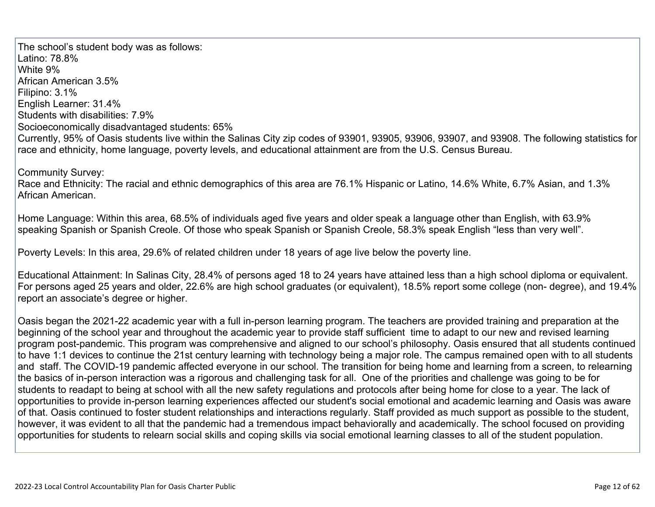The school's student body was as follows: Latino: 78.8% White 9% African American 3.5% Filipino: 3.1% English Learner: 31.4% Students with disabilities: 7.9% Socioeconomically disadvantaged students: 65% Currently, 95% of Oasis students live within the Salinas City zip codes of 93901, 93905, 93906, 93907, and 93908. The following statistics for race and ethnicity, home language, poverty levels, and educational attainment are from the U.S. Census Bureau.

Community Survey:

Race and Ethnicity: The racial and ethnic demographics of this area are 76.1% Hispanic or Latino, 14.6% White, 6.7% Asian, and 1.3% African American.

Home Language: Within this area, 68.5% of individuals aged five years and older speak a language other than English, with 63.9% speaking Spanish or Spanish Creole. Of those who speak Spanish or Spanish Creole, 58.3% speak English "less than very well".

Poverty Levels: In this area, 29.6% of related children under 18 years of age live below the poverty line.

Educational Attainment: In Salinas City, 28.4% of persons aged 18 to 24 years have attained less than a high school diploma or equivalent. For persons aged 25 years and older, 22.6% are high school graduates (or equivalent), 18.5% report some college (non- degree), and 19.4% report an associate's degree or higher.

Oasis began the 2021-22 academic year with a full in-person learning program. The teachers are provided training and preparation at the beginning of the school year and throughout the academic year to provide staff sufficient time to adapt to our new and revised learning program post-pandemic. This program was comprehensive and aligned to our school's philosophy. Oasis ensured that all students continued to have 1:1 devices to continue the 21st century learning with technology being a major role. The campus remained open with to all students and staff. The COVID-19 pandemic affected everyone in our school. The transition for being home and learning from a screen, to relearning the basics of in-person interaction was a rigorous and challenging task for all. One of the priorities and challenge was going to be for students to readapt to being at school with all the new safety regulations and protocols after being home for close to a year. The lack of opportunities to provide in-person learning experiences affected our student's social emotional and academic learning and Oasis was aware of that. Oasis continued to foster student relationships and interactions regularly. Staff provided as much support as possible to the student, however, it was evident to all that the pandemic had a tremendous impact behaviorally and academically. The school focused on providing opportunities for students to relearn social skills and coping skills via social emotional learning classes to all of the student population.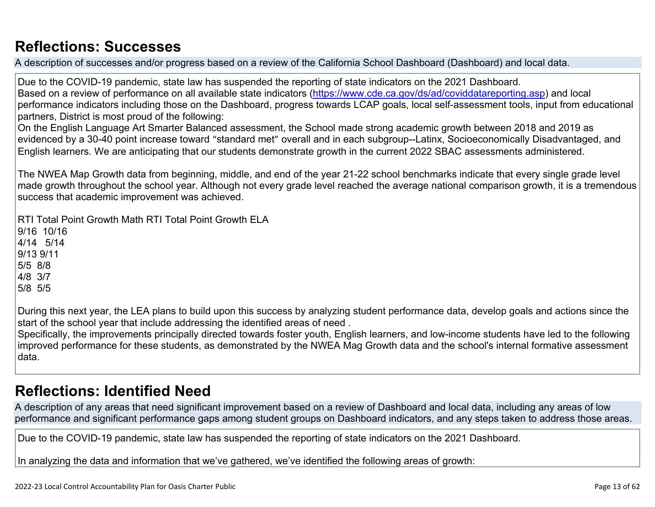## **[Reflections: Successes](http://www.doc-tracking.com/screenshots/22LCAP/Instructions/22LCAPInstructions.htm#ReflectionsSuccesses)**

A description of successes and/or progress based on a review of the California School Dashboard (Dashboard) and local data.

Due to the COVID-19 pandemic, state law has suspended the reporting of state indicators on the 2021 Dashboard. Based on a review of performance on all available state indicators [\(https://www.cde.ca.gov/ds/ad/coviddatareporting.asp](https://www.cde.ca.gov/ds/ad/coviddatareporting.asp)) and local performance indicators including those on the Dashboard, progress towards LCAP goals, local self-assessment tools, input from educational partners, District is most proud of the following:

On the English Language Art Smarter Balanced assessment, the School made strong academic growth between 2018 and 2019 as evidenced by a 30-40 point increase toward "standard met" overall and in each subgroup--Latinx, Socioeconomically Disadvantaged, and English learners. We are anticipating that our students demonstrate growth in the current 2022 SBAC assessments administered.

The NWEA Map Growth data from beginning, middle, and end of the year 21-22 school benchmarks indicate that every single grade level made growth throughout the school year. Although not every grade level reached the average national comparison growth, it is a tremendous success that academic improvement was achieved.

RTI Total Point Growth Math RTI Total Point Growth ELA 9/16 10/16 4/14 5/14 9/13 9/11 5/5 8/8 4/8 3/7 5/8 5/5

During this next year, the LEA plans to build upon this success by analyzing student performance data, develop goals and actions since the start of the school year that include addressing the identified areas of need .

Specifically, the improvements principally directed towards foster youth, English learners, and low-income students have led to the following improved performance for these students, as demonstrated by the NWEA Mag Growth data and the school's internal formative assessment data.

## **[Reflections: Identified Need](http://www.doc-tracking.com/screenshots/22LCAP/Instructions/22LCAPInstructions.htm#ReflectionsIdentifiedNeed)**

A description of any areas that need significant improvement based on a review of Dashboard and local data, including any areas of low performance and significant performance gaps among student groups on Dashboard indicators, and any steps taken to address those areas.

Due to the COVID-19 pandemic, state law has suspended the reporting of state indicators on the 2021 Dashboard.

In analyzing the data and information that we've gathered, we've identified the following areas of growth: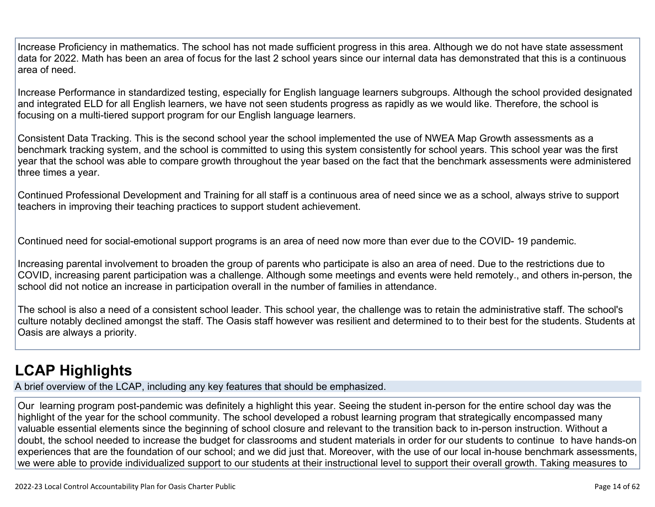Increase Proficiency in mathematics. The school has not made sufficient progress in this area. Although we do not have state assessment data for 2022. Math has been an area of focus for the last 2 school years since our internal data has demonstrated that this is a continuous area of need.

Increase Performance in standardized testing, especially for English language learners subgroups. Although the school provided designated and integrated ELD for all English learners, we have not seen students progress as rapidly as we would like. Therefore, the school is focusing on a multi-tiered support program for our English language learners.

Consistent Data Tracking. This is the second school year the school implemented the use of NWEA Map Growth assessments as a benchmark tracking system, and the school is committed to using this system consistently for school years. This school year was the first year that the school was able to compare growth throughout the year based on the fact that the benchmark assessments were administered three times a year.

Continued Professional Development and Training for all staff is a continuous area of need since we as a school, always strive to support teachers in improving their teaching practices to support student achievement.

Continued need for social-emotional support programs is an area of need now more than ever due to the COVID- 19 pandemic.

Increasing parental involvement to broaden the group of parents who participate is also an area of need. Due to the restrictions due to COVID, increasing parent participation was a challenge. Although some meetings and events were held remotely., and others in-person, the school did not notice an increase in participation overall in the number of families in attendance.

The school is also a need of a consistent school leader. This school year, the challenge was to retain the administrative staff. The school's culture notably declined amongst the staff. The Oasis staff however was resilient and determined to to their best for the students. Students at Oasis are always a priority.

# **[LCAP Highlights](http://www.doc-tracking.com/screenshots/22LCAP/Instructions/22LCAPInstructions.htm#LCAPHighlights)**

A brief overview of the LCAP, including any key features that should be emphasized.

Our learning program post-pandemic was definitely a highlight this year. Seeing the student in-person for the entire school day was the highlight of the year for the school community. The school developed a robust learning program that strategically encompassed many valuable essential elements since the beginning of school closure and relevant to the transition back to in-person instruction. Without a doubt, the school needed to increase the budget for classrooms and student materials in order for our students to continue to have hands-on experiences that are the foundation of our school; and we did just that. Moreover, with the use of our local in-house benchmark assessments, we were able to provide individualized support to our students at their instructional level to support their overall growth. Taking measures to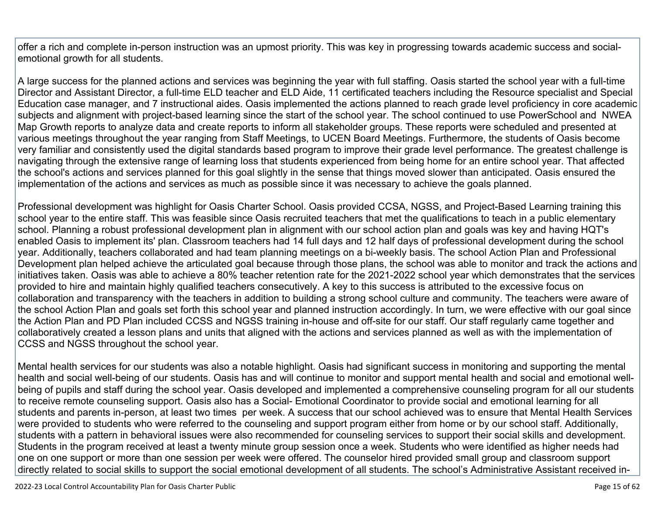offer a rich and complete in-person instruction was an upmost priority. This was key in progressing towards academic success and socialemotional growth for all students.

A large success for the planned actions and services was beginning the year with full staffing. Oasis started the school year with a full-time Director and Assistant Director, a full-time ELD teacher and ELD Aide, 11 certificated teachers including the Resource specialist and Special Education case manager, and 7 instructional aides. Oasis implemented the actions planned to reach grade level proficiency in core academic subjects and alignment with project-based learning since the start of the school year. The school continued to use PowerSchool and NWEA Map Growth reports to analyze data and create reports to inform all stakeholder groups. These reports were scheduled and presented at various meetings throughout the year ranging from Staff Meetings, to UCEN Board Meetings. Furthermore, the students of Oasis become very familiar and consistently used the digital standards based program to improve their grade level performance. The greatest challenge is navigating through the extensive range of learning loss that students experienced from being home for an entire school year. That affected the school's actions and services planned for this goal slightly in the sense that things moved slower than anticipated. Oasis ensured the implementation of the actions and services as much as possible since it was necessary to achieve the goals planned.

Professional development was highlight for Oasis Charter School. Oasis provided CCSA, NGSS, and Project-Based Learning training this school year to the entire staff. This was feasible since Oasis recruited teachers that met the qualifications to teach in a public elementary school. Planning a robust professional development plan in alignment with our school action plan and goals was key and having HQT's enabled Oasis to implement its' plan. Classroom teachers had 14 full days and 12 half days of professional development during the school year. Additionally, teachers collaborated and had team planning meetings on a bi-weekly basis. The school Action Plan and Professional Development plan helped achieve the articulated goal because through those plans, the school was able to monitor and track the actions and initiatives taken. Oasis was able to achieve a 80% teacher retention rate for the 2021-2022 school year which demonstrates that the services provided to hire and maintain highly qualified teachers consecutively. A key to this success is attributed to the excessive focus on collaboration and transparency with the teachers in addition to building a strong school culture and community. The teachers were aware of the school Action Plan and goals set forth this school year and planned instruction accordingly. In turn, we were effective with our goal since the Action Plan and PD Plan included CCSS and NGSS training in-house and off-site for our staff. Our staff regularly came together and collaboratively created a lesson plans and units that aligned with the actions and services planned as well as with the implementation of CCSS and NGSS throughout the school year.

Mental health services for our students was also a notable highlight. Oasis had significant success in monitoring and supporting the mental health and social well-being of our students. Oasis has and will continue to monitor and support mental health and social and emotional wellbeing of pupils and staff during the school year. Oasis developed and implemented a comprehensive counseling program for all our students to receive remote counseling support. Oasis also has a Social- Emotional Coordinator to provide social and emotional learning for all students and parents in-person, at least two times per week. A success that our school achieved was to ensure that Mental Health Services were provided to students who were referred to the counseling and support program either from home or by our school staff. Additionally, students with a pattern in behavioral issues were also recommended for counseling services to support their social skills and development. Students in the program received at least a twenty minute group session once a week. Students who were identified as higher needs had one on one support or more than one session per week were offered. The counselor hired provided small group and classroom support directly related to social skills to support the social emotional development of all students. The school's Administrative Assistant received in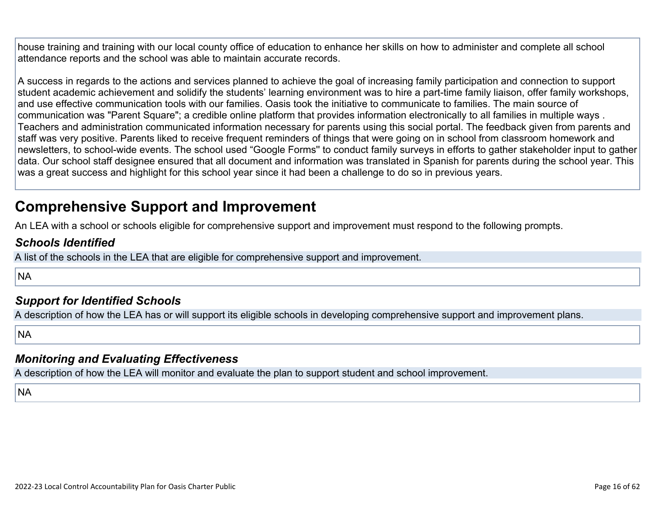house training and training with our local county office of education to enhance her skills on how to administer and complete all school attendance reports and the school was able to maintain accurate records.

A success in regards to the actions and services planned to achieve the goal of increasing family participation and connection to support student academic achievement and solidify the students' learning environment was to hire a part-time family liaison, offer family workshops, and use effective communication tools with our families. Oasis took the initiative to communicate to families. The main source of communication was "Parent Square"; a credible online platform that provides information electronically to all families in multiple ways . Teachers and administration communicated information necessary for parents using this social portal. The feedback given from parents and staff was very positive. Parents liked to receive frequent reminders of things that were going on in school from classroom homework and newsletters, to school-wide events. The school used "Google Forms'' to conduct family surveys in efforts to gather stakeholder input to gather data. Our school staff designee ensured that all document and information was translated in Spanish for parents during the school year. This was a great success and highlight for this school year since it had been a challenge to do so in previous years.

## **Comprehensive Support and Improvement**

An LEA with a school or schools eligible for comprehensive support and improvement must respond to the following prompts.

#### *[Schools Identified](http://www.doc-tracking.com/screenshots/22LCAP/Instructions/22LCAPInstructions.htm#SchoolsIdentified)*

A list of the schools in the LEA that are eligible for comprehensive support and improvement.

**NA** 

#### *[Support for Identified Schools](http://www.doc-tracking.com/screenshots/22LCAP/Instructions/22LCAPInstructions.htm#SupportforIdentifiedSchools)*

A description of how the LEA has or will support its eligible schools in developing comprehensive support and improvement plans.

**NA** 

#### *[Monitoring and Evaluating Effectiveness](http://www.doc-tracking.com/screenshots/22LCAP/Instructions/22LCAPInstructions.htm#MonitoringandEvaluatingEffectiveness)*

A description of how the LEA will monitor and evaluate the plan to support student and school improvement.

**NA**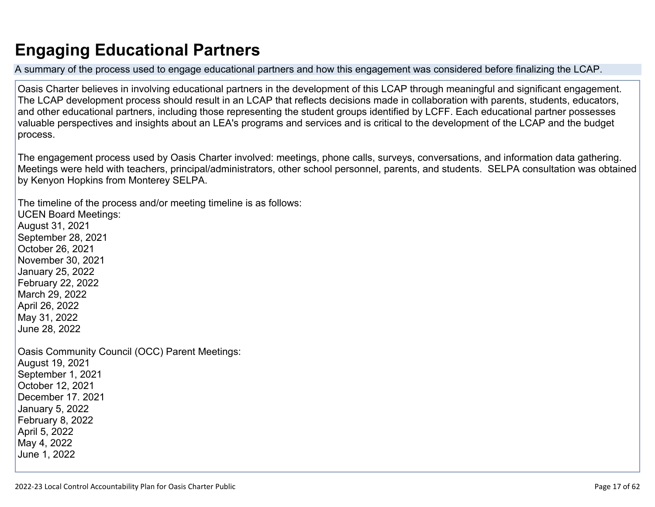# **Engaging Educational Partners**

A summary of the process used to engage educational partners and how this engagement was considered before finalizing the LCAP.

Oasis Charter believes in involving educational partners in the development of this LCAP through meaningful and significant engagement. The LCAP development process should result in an LCAP that reflects decisions made in collaboration with parents, students, educators, and other educational partners, including those representing the student groups identified by LCFF. Each educational partner possesses valuable perspectives and insights about an LEA's programs and services and is critical to the development of the LCAP and the budget process.

The engagement process used by Oasis Charter involved: meetings, phone calls, surveys, conversations, and information data gathering. Meetings were held with teachers, principal/administrators, other school personnel, parents, and students. SELPA consultation was obtained by Kenyon Hopkins from Monterey SELPA.

The timeline of the process and/or meeting timeline is as follows: UCEN Board Meetings: August 31, 2021 September 28, 2021 October 26, 2021 November 30, 2021 January 25, 2022 February 22, 2022 March 29, 2022 April 26, 2022 May 31, 2022 June 28, 2022 Oasis Community Council (OCC) Parent Meetings: August 19, 2021 September 1, 2021 October 12, 2021 December 17. 2021 January 5, 2022 February 8, 2022 April 5, 2022 May 4, 2022 June 1, 2022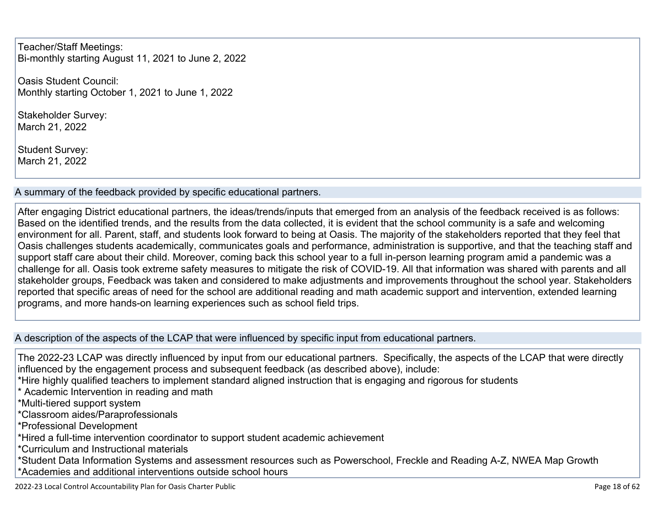Teacher/Staff Meetings: Bi-monthly starting August 11, 2021 to June 2, 2022

Oasis Student Council: Monthly starting October 1, 2021 to June 1, 2022

Stakeholder Survey: March 21, 2022

Student Survey: March 21, 2022

A summary of the feedback provided by specific educational partners.

After engaging District educational partners, the ideas/trends/inputs that emerged from an analysis of the feedback received is as follows: Based on the identified trends, and the results from the data collected, it is evident that the school community is a safe and welcoming environment for all. Parent, staff, and students look forward to being at Oasis. The majority of the stakeholders reported that they feel that Oasis challenges students academically, communicates goals and performance, administration is supportive, and that the teaching staff and support staff care about their child. Moreover, coming back this school year to a full in-person learning program amid a pandemic was a challenge for all. Oasis took extreme safety measures to mitigate the risk of COVID-19. All that information was shared with parents and all stakeholder groups, Feedback was taken and considered to make adjustments and improvements throughout the school year. Stakeholders reported that specific areas of need for the school are additional reading and math academic support and intervention, extended learning programs, and more hands-on learning experiences such as school field trips.

#### A description of the aspects of the LCAP that were influenced by specific input from educational partners.

The 2022-23 LCAP was directly influenced by input from our educational partners. Specifically, the aspects of the LCAP that were directly influenced by the engagement process and subsequent feedback (as described above), include: \*Hire highly qualified teachers to implement standard aligned instruction that is engaging and rigorous for students \* Academic Intervention in reading and math \*Multi-tiered support system \*Classroom aides/Paraprofessionals \*Professional Development \*Hired a full-time intervention coordinator to support student academic achievement \*Curriculum and Instructional materials \*Student Data Information Systems and assessment resources such as Powerschool, Freckle and Reading A-Z, NWEA Map Growth \*Academies and additional interventions outside school hours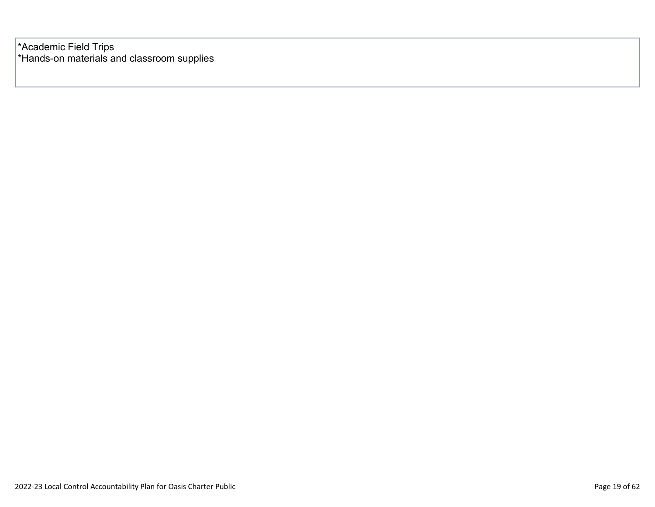\*Academic Field Trips \*Hands-on materials and classroom supplies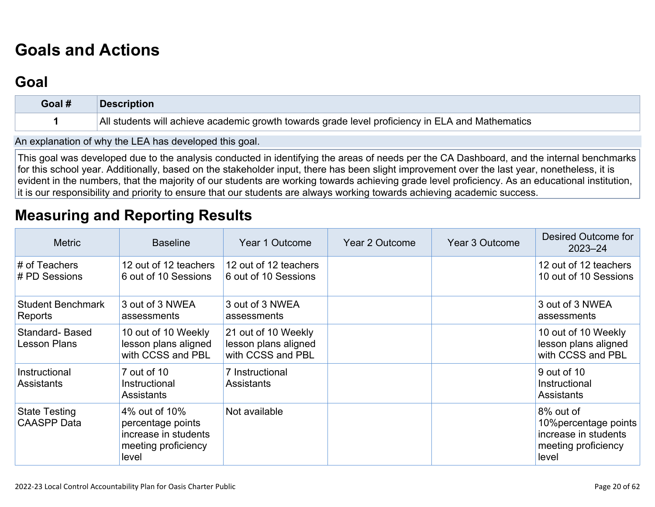# **[Goals and Actions](http://www.doc-tracking.com/screenshots/22LCAP/Instructions/22LCAPInstructions.htm#GoalsandActions)**

## **[Goal](http://www.doc-tracking.com/screenshots/22LCAP/Instructions/22LCAPInstructions.htm#goalDescription)**

| Goal # | <b>Description</b>                                                                               |
|--------|--------------------------------------------------------------------------------------------------|
|        | All students will achieve academic growth towards grade level proficiency in ELA and Mathematics |

An explanation of why the LEA has developed this goal.

This goal was developed due to the analysis conducted in identifying the areas of needs per the CA Dashboard, and the internal benchmarks for this school year. Additionally, based on the stakeholder input, there has been slight improvement over the last year, nonetheless, it is evident in the numbers, that the majority of our students are working towards achieving grade level proficiency. As an educational institution, it is our responsibility and priority to ensure that our students are always working towards achieving academic success.

### **[Measuring and Reporting Results](http://www.doc-tracking.com/screenshots/22LCAP/Instructions/22LCAPInstructions.htm#MeasuringandReportingResults)**

| <b>Metric</b>                              | <b>Baseline</b>                                                                            | Year 1 Outcome                                                   | Year 2 Outcome | Year 3 Outcome | Desired Outcome for<br>$2023 - 24$                                                         |
|--------------------------------------------|--------------------------------------------------------------------------------------------|------------------------------------------------------------------|----------------|----------------|--------------------------------------------------------------------------------------------|
| # of Teachers<br># PD Sessions             | 12 out of 12 teachers<br>6 out of 10 Sessions                                              | 12 out of 12 teachers<br>6 out of 10 Sessions                    |                |                | 12 out of 12 teachers<br>10 out of 10 Sessions                                             |
| <b>Student Benchmark</b><br>Reports        | 3 out of 3 NWEA<br>assessments                                                             | 3 out of 3 NWEA<br>assessments                                   |                |                | 3 out of 3 NWEA<br>assessments                                                             |
| Standard-Based<br><b>Lesson Plans</b>      | 10 out of 10 Weekly<br>lesson plans aligned<br>with CCSS and PBL                           | 21 out of 10 Weekly<br>lesson plans aligned<br>with CCSS and PBL |                |                | 10 out of 10 Weekly<br>lesson plans aligned<br>with CCSS and PBL                           |
| Instructional<br><b>Assistants</b>         | 7 out of 10<br>Instructional<br>Assistants                                                 | 7 Instructional<br>Assistants                                    |                |                | 9 out of 10<br>Instructional<br><b>Assistants</b>                                          |
| <b>State Testing</b><br><b>CAASPP</b> Data | 4% out of 10%<br>percentage points<br>increase in students<br>meeting proficiency<br>level | Not available                                                    |                |                | 8% out of<br>10% percentage points<br>increase in students<br>meeting proficiency<br>level |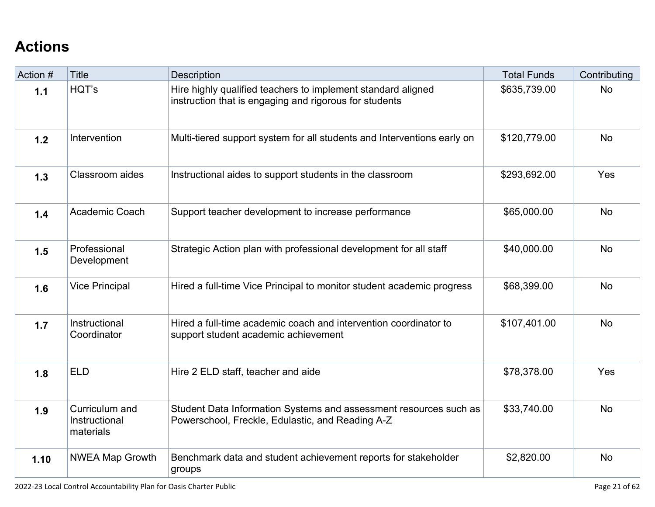# **[Actions](http://www.doc-tracking.com/screenshots/22LCAP/Instructions/22LCAPInstructions.htm#actions)**

| Action # | <b>Title</b>                                 | Description                                                                                                            | <b>Total Funds</b> | Contributing |
|----------|----------------------------------------------|------------------------------------------------------------------------------------------------------------------------|--------------------|--------------|
| $1.1$    | HQT's                                        | Hire highly qualified teachers to implement standard aligned<br>instruction that is engaging and rigorous for students | \$635,739.00       | <b>No</b>    |
| 1.2      | Intervention                                 | Multi-tiered support system for all students and Interventions early on                                                | \$120,779.00       | <b>No</b>    |
| 1.3      | Classroom aides                              | Instructional aides to support students in the classroom                                                               | \$293,692.00       | Yes          |
| 1.4      | <b>Academic Coach</b>                        | Support teacher development to increase performance                                                                    | \$65,000.00        | <b>No</b>    |
| 1.5      | Professional<br>Development                  | Strategic Action plan with professional development for all staff                                                      | \$40,000.00        | <b>No</b>    |
| 1.6      | <b>Vice Principal</b>                        | Hired a full-time Vice Principal to monitor student academic progress                                                  | \$68,399.00        | <b>No</b>    |
| 1.7      | Instructional<br>Coordinator                 | Hired a full-time academic coach and intervention coordinator to<br>support student academic achievement               | \$107,401.00       | <b>No</b>    |
| 1.8      | <b>ELD</b>                                   | Hire 2 ELD staff, teacher and aide                                                                                     | \$78,378.00        | Yes          |
| 1.9      | Curriculum and<br>Instructional<br>materials | Student Data Information Systems and assessment resources such as<br>Powerschool, Freckle, Edulastic, and Reading A-Z  | \$33,740.00        | <b>No</b>    |
| 1.10     | <b>NWEA Map Growth</b>                       | Benchmark data and student achievement reports for stakeholder<br>groups                                               | \$2,820.00         | <b>No</b>    |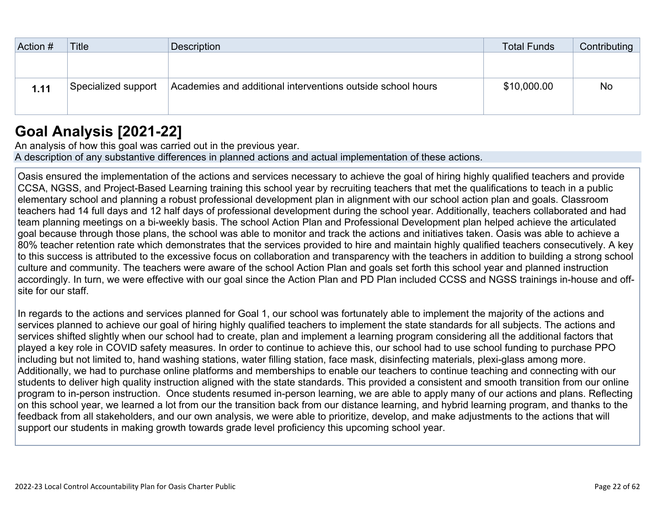| Action # | <b>Title</b>        | Description                                                 | <b>Total Funds</b> | Contributing |
|----------|---------------------|-------------------------------------------------------------|--------------------|--------------|
|          |                     |                                                             |                    |              |
|          |                     |                                                             |                    |              |
| 1.11     | Specialized support | Academies and additional interventions outside school hours | \$10,000.00        | No           |
|          |                     |                                                             |                    |              |
|          |                     |                                                             |                    |              |

## **[Goal Analysis \[2021-22\]](http://www.doc-tracking.com/screenshots/22LCAP/Instructions/22LCAPInstructions.htm#GoalAnalysis)**

An analysis of how this goal was carried out in the previous year. A description of any substantive differences in planned actions and actual implementation of these actions.

Oasis ensured the implementation of the actions and services necessary to achieve the goal of hiring highly qualified teachers and provide CCSA, NGSS, and Project-Based Learning training this school year by recruiting teachers that met the qualifications to teach in a public elementary school and planning a robust professional development plan in alignment with our school action plan and goals. Classroom teachers had 14 full days and 12 half days of professional development during the school year. Additionally, teachers collaborated and had team planning meetings on a bi-weekly basis. The school Action Plan and Professional Development plan helped achieve the articulated goal because through those plans, the school was able to monitor and track the actions and initiatives taken. Oasis was able to achieve a 80% teacher retention rate which demonstrates that the services provided to hire and maintain highly qualified teachers consecutively. A key to this success is attributed to the excessive focus on collaboration and transparency with the teachers in addition to building a strong school culture and community. The teachers were aware of the school Action Plan and goals set forth this school year and planned instruction accordingly. In turn, we were effective with our goal since the Action Plan and PD Plan included CCSS and NGSS trainings in-house and offsite for our staff.

In regards to the actions and services planned for Goal 1, our school was fortunately able to implement the majority of the actions and services planned to achieve our goal of hiring highly qualified teachers to implement the state standards for all subjects. The actions and services shifted slightly when our school had to create, plan and implement a learning program considering all the additional factors that played a key role in COVID safety measures. In order to continue to achieve this, our school had to use school funding to purchase PPO including but not limited to, hand washing stations, water filling station, face mask, disinfecting materials, plexi-glass among more. Additionally, we had to purchase online platforms and memberships to enable our teachers to continue teaching and connecting with our students to deliver high quality instruction aligned with the state standards. This provided a consistent and smooth transition from our online program to in-person instruction. Once students resumed in-person learning, we are able to apply many of our actions and plans. Reflecting on this school year, we learned a lot from our the transition back from our distance learning, and hybrid learning program, and thanks to the feedback from all stakeholders, and our own analysis, we were able to prioritize, develop, and make adjustments to the actions that will support our students in making growth towards grade level proficiency this upcoming school year.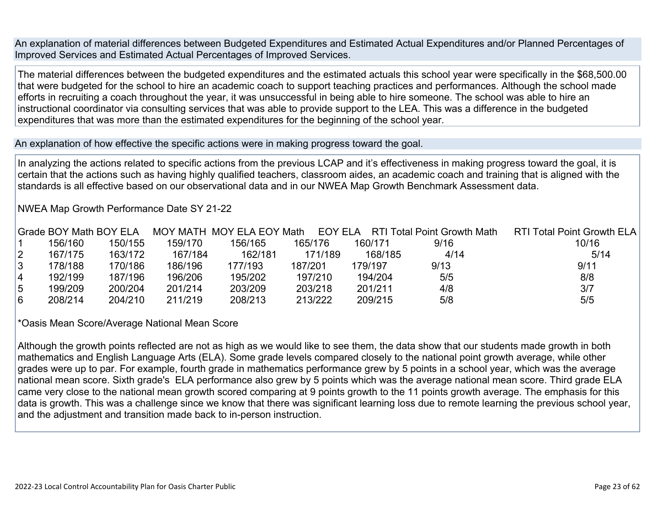An explanation of material differences between Budgeted Expenditures and Estimated Actual Expenditures and/or Planned Percentages of Improved Services and Estimated Actual Percentages of Improved Services.

The material differences between the budgeted expenditures and the estimated actuals this school year were specifically in the \$68,500.00 that were budgeted for the school to hire an academic coach to support teaching practices and performances. Although the school made efforts in recruiting a coach throughout the year, it was unsuccessful in being able to hire someone. The school was able to hire an instructional coordinator via consulting services that was able to provide support to the LEA. This was a difference in the budgeted expenditures that was more than the estimated expenditures for the beginning of the school year.

An explanation of how effective the specific actions were in making progress toward the goal.

In analyzing the actions related to specific actions from the previous LCAP and it's effectiveness in making progress toward the goal, it is certain that the actions such as having highly qualified teachers, classroom aides, an academic coach and training that is aligned with the standards is all effective based on our observational data and in our NWEA Map Growth Benchmark Assessment data.

NWEA Map Growth Performance Date SY 21-22

|                | Grade BOY Math BOY ELA |         |         | MOY MATH MOY ELA EOY Math | EOY ELA |         | <b>RTI Total Point Growth Math</b> | <b>RTI Total Point Growth ELA</b> |
|----------------|------------------------|---------|---------|---------------------------|---------|---------|------------------------------------|-----------------------------------|
|                | 156/160                | 150/155 | 159/170 | 156/165                   | 165/176 | 160/171 | 9/16                               | 10/16                             |
| $\overline{2}$ | 167/175                | 163/172 | 167/184 | 162/181                   | 171/189 | 168/185 | 4/14                               | 5/14                              |
| 3              | 178/188                | 170/186 | 186/196 | 177/193                   | 187/201 | 179/197 | 9/13                               | 9/11                              |
| 4              | 192/199                | 187/196 | 196/206 | 195/202                   | 197/210 | 194/204 | 5/5                                | 8/8                               |
| 5              | 199/209                | 200/204 | 201/214 | 203/209                   | 203/218 | 201/211 | 4/8                                | 3/7                               |
| 6              | 208/214                | 204/210 | 211/219 | 208/213                   | 213/222 | 209/215 | 5/8                                | 5/5                               |

\*Oasis Mean Score/Average National Mean Score

Although the growth points reflected are not as high as we would like to see them, the data show that our students made growth in both mathematics and English Language Arts (ELA). Some grade levels compared closely to the national point growth average, while other grades were up to par. For example, fourth grade in mathematics performance grew by 5 points in a school year, which was the average national mean score. Sixth grade's ELA performance also grew by 5 points which was the average national mean score. Third grade ELA came very close to the national mean growth scored comparing at 9 points growth to the 11 points growth average. The emphasis for this data is growth. This was a challenge since we know that there was significant learning loss due to remote learning the previous school year, and the adjustment and transition made back to in-person instruction.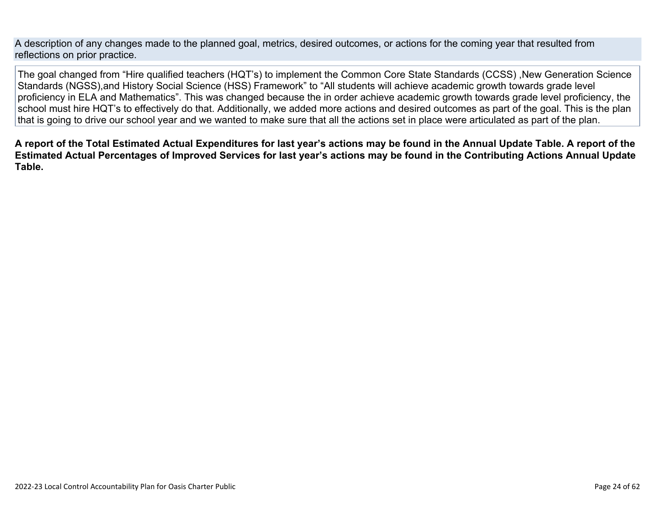A description of any changes made to the planned goal, metrics, desired outcomes, or actions for the coming year that resulted from reflections on prior practice.

The goal changed from "Hire qualified teachers (HQT's) to implement the Common Core State Standards (CCSS) ,New Generation Science Standards (NGSS),and History Social Science (HSS) Framework" to "All students will achieve academic growth towards grade level proficiency in ELA and Mathematics". This was changed because the in order achieve academic growth towards grade level proficiency, the school must hire HQT's to effectively do that. Additionally, we added more actions and desired outcomes as part of the goal. This is the plan that is going to drive our school year and we wanted to make sure that all the actions set in place were articulated as part of the plan.

**A report of the Total Estimated Actual Expenditures for last year's actions may be found in the Annual Update Table. A report of the Estimated Actual Percentages of Improved Services for last year's actions may be found in the Contributing Actions Annual Update Table.**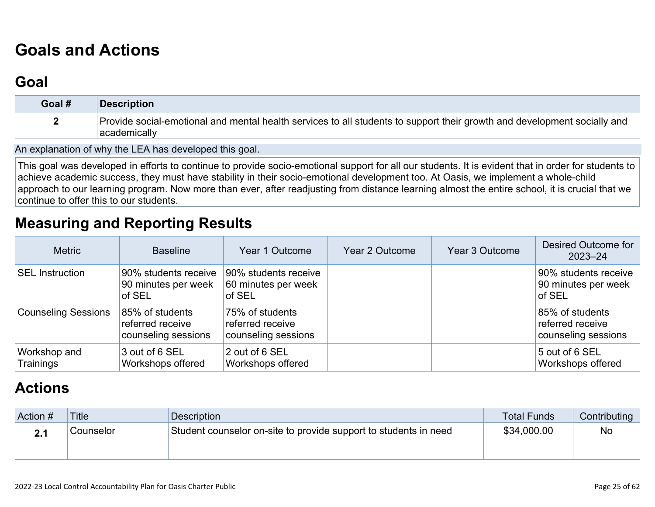# **[Goals and Actions](http://www.doc-tracking.com/screenshots/22LCAP/Instructions/22LCAPInstructions.htm#GoalsandActions)**

## **[Goal](http://www.doc-tracking.com/screenshots/22LCAP/Instructions/22LCAPInstructions.htm#goalDescription)**

| Goal # | Description                                                                                                                               |
|--------|-------------------------------------------------------------------------------------------------------------------------------------------|
|        | Provide social-emotional and mental health services to all students to support their growth and development socially and<br>⊧academically |

An explanation of why the LEA has developed this goal.

This goal was developed in efforts to continue to provide socio-emotional support for all our students. It is evident that in order for students to achieve academic success, they must have stability in their socio-emotional development too. At Oasis, we implement a whole-child approach to our learning program. Now more than ever, after readjusting from distance learning almost the entire school, it is crucial that we continue to offer this to our students.

## **[Measuring and Reporting Results](http://www.doc-tracking.com/screenshots/22LCAP/Instructions/22LCAPInstructions.htm#MeasuringandReportingResults)**

| <b>Metric</b>              | <b>Baseline</b>                                            | Year 1 Outcome                                             | Year 2 Outcome | Year 3 Outcome | Desired Outcome for<br>$2023 - 24$                         |
|----------------------------|------------------------------------------------------------|------------------------------------------------------------|----------------|----------------|------------------------------------------------------------|
| <b>SEL Instruction</b>     | 90% students receive<br>90 minutes per week<br>of SEL      | 90% students receive<br>60 minutes per week<br>of SEL      |                |                | 90% students receive<br>90 minutes per week<br>of SEL      |
| <b>Counseling Sessions</b> | 85% of students<br>referred receive<br>counseling sessions | 75% of students<br>referred receive<br>counseling sessions |                |                | 85% of students<br>referred receive<br>counseling sessions |
| Workshop and<br>Trainings  | 3 out of 6 SEL<br>Workshops offered                        | 2 out of 6 SEL<br>Workshops offered                        |                |                | 5 out of 6 SEL<br>Workshops offered                        |

# **[Actions](http://www.doc-tracking.com/screenshots/22LCAP/Instructions/22LCAPInstructions.htm#actions)**

| Action # | Title     | Description                                                      | Total Funds | <b>Contributing</b> |
|----------|-----------|------------------------------------------------------------------|-------------|---------------------|
|          | Counselor | Student counselor on-site to provide support to students in need | \$34,000.00 | <b>No</b>           |
|          |           |                                                                  |             |                     |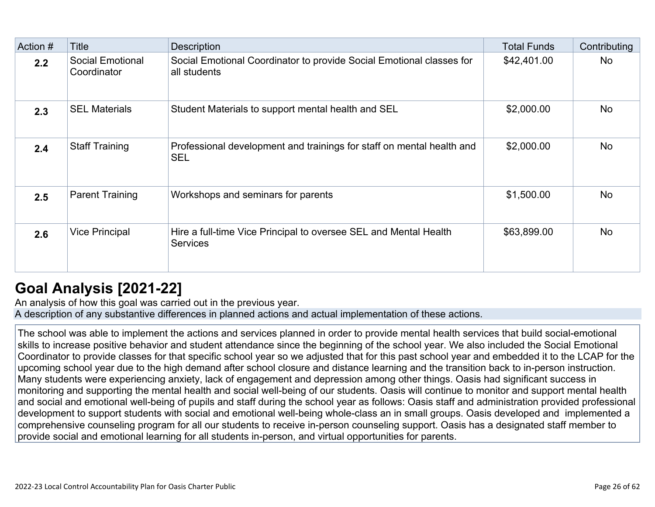| Action # | Title                                  | Description                                                                          | <b>Total Funds</b> | Contributing |
|----------|----------------------------------------|--------------------------------------------------------------------------------------|--------------------|--------------|
| 2.2      | <b>Social Emotional</b><br>Coordinator | Social Emotional Coordinator to provide Social Emotional classes for<br>all students | \$42,401.00        | No           |
| 2.3      | <b>SEL Materials</b>                   | Student Materials to support mental health and SEL                                   | \$2,000.00         | <b>No</b>    |
| 2.4      | <b>Staff Training</b>                  | Professional development and trainings for staff on mental health and<br><b>SEL</b>  | \$2,000.00         | <b>No</b>    |
| 2.5      | <b>Parent Training</b>                 | Workshops and seminars for parents                                                   | \$1,500.00         | <b>No</b>    |
| 2.6      | <b>Vice Principal</b>                  | Hire a full-time Vice Principal to oversee SEL and Mental Health<br><b>Services</b>  | \$63,899.00        | <b>No</b>    |

# **[Goal Analysis \[2021-22\]](http://www.doc-tracking.com/screenshots/22LCAP/Instructions/22LCAPInstructions.htm#GoalAnalysis)**

An analysis of how this goal was carried out in the previous year. A description of any substantive differences in planned actions and actual implementation of these actions.

The school was able to implement the actions and services planned in order to provide mental health services that build social-emotional skills to increase positive behavior and student attendance since the beginning of the school year. We also included the Social Emotional Coordinator to provide classes for that specific school year so we adjusted that for this past school year and embedded it to the LCAP for the upcoming school year due to the high demand after school closure and distance learning and the transition back to in-person instruction. Many students were experiencing anxiety, lack of engagement and depression among other things. Oasis had significant success in monitoring and supporting the mental health and social well-being of our students. Oasis will continue to monitor and support mental health and social and emotional well-being of pupils and staff during the school year as follows: Oasis staff and administration provided professional development to support students with social and emotional well-being whole-class an in small groups. Oasis developed and implemented a comprehensive counseling program for all our students to receive in-person counseling support. Oasis has a designated staff member to provide social and emotional learning for all students in-person, and virtual opportunities for parents.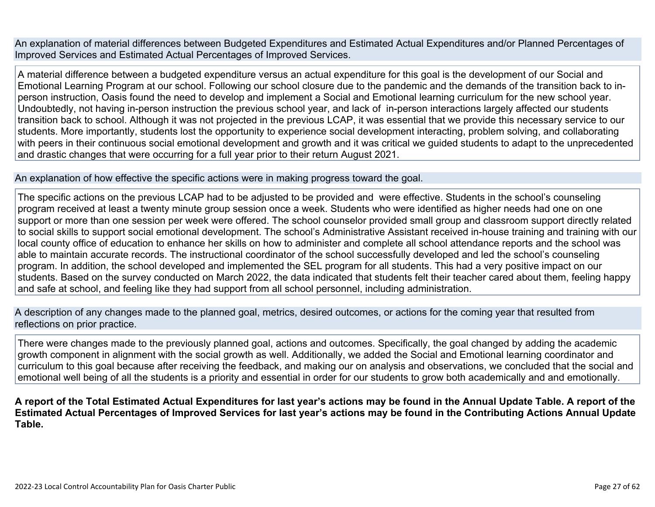An explanation of material differences between Budgeted Expenditures and Estimated Actual Expenditures and/or Planned Percentages of Improved Services and Estimated Actual Percentages of Improved Services.

A material difference between a budgeted expenditure versus an actual expenditure for this goal is the development of our Social and Emotional Learning Program at our school. Following our school closure due to the pandemic and the demands of the transition back to inperson instruction, Oasis found the need to develop and implement a Social and Emotional learning curriculum for the new school year. Undoubtedly, not having in-person instruction the previous school year, and lack of in-person interactions largely affected our students transition back to school. Although it was not projected in the previous LCAP, it was essential that we provide this necessary service to our students. More importantly, students lost the opportunity to experience social development interacting, problem solving, and collaborating with peers in their continuous social emotional development and growth and it was critical we guided students to adapt to the unprecedented and drastic changes that were occurring for a full year prior to their return August 2021.

#### An explanation of how effective the specific actions were in making progress toward the goal.

The specific actions on the previous LCAP had to be adjusted to be provided and were effective. Students in the school's counseling program received at least a twenty minute group session once a week. Students who were identified as higher needs had one on one support or more than one session per week were offered. The school counselor provided small group and classroom support directly related to social skills to support social emotional development. The school's Administrative Assistant received in-house training and training with our local county office of education to enhance her skills on how to administer and complete all school attendance reports and the school was able to maintain accurate records. The instructional coordinator of the school successfully developed and led the school's counseling program. In addition, the school developed and implemented the SEL program for all students. This had a very positive impact on our students. Based on the survey conducted on March 2022, the data indicated that students felt their teacher cared about them, feeling happy and safe at school, and feeling like they had support from all school personnel, including administration.

A description of any changes made to the planned goal, metrics, desired outcomes, or actions for the coming year that resulted from reflections on prior practice.

There were changes made to the previously planned goal, actions and outcomes. Specifically, the goal changed by adding the academic growth component in alignment with the social growth as well. Additionally, we added the Social and Emotional learning coordinator and curriculum to this goal because after receiving the feedback, and making our on analysis and observations, we concluded that the social and emotional well being of all the students is a priority and essential in order for our students to grow both academically and and emotionally.

**A report of the Total Estimated Actual Expenditures for last year's actions may be found in the Annual Update Table. A report of the Estimated Actual Percentages of Improved Services for last year's actions may be found in the Contributing Actions Annual Update Table.**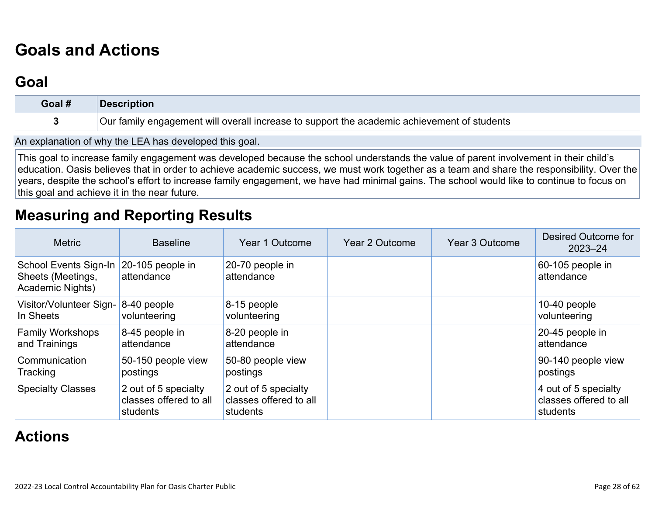# **[Goals and Actions](http://www.doc-tracking.com/screenshots/22LCAP/Instructions/22LCAPInstructions.htm#GoalsandActions)**

## **[Goal](http://www.doc-tracking.com/screenshots/22LCAP/Instructions/22LCAPInstructions.htm#goalDescription)**

| Goal # | <b>Description</b>                                                                          |
|--------|---------------------------------------------------------------------------------------------|
|        | Our family engagement will overall increase to support the academic achievement of students |

An explanation of why the LEA has developed this goal.

This goal to increase family engagement was developed because the school understands the value of parent involvement in their child's education. Oasis believes that in order to achieve academic success, we must work together as a team and share the responsibility. Over the years, despite the school's effort to increase family engagement, we have had minimal gains. The school would like to continue to focus on this goal and achieve it in the near future.

### **[Measuring and Reporting Results](http://www.doc-tracking.com/screenshots/22LCAP/Instructions/22LCAPInstructions.htm#MeasuringandReportingResults)**

| <b>Metric</b>                                                         | <b>Baseline</b>                                            | Year 1 Outcome                                             | Year 2 Outcome | Year 3 Outcome | Desired Outcome for<br>$2023 - 24$                         |
|-----------------------------------------------------------------------|------------------------------------------------------------|------------------------------------------------------------|----------------|----------------|------------------------------------------------------------|
| School Events Sign-In<br>Sheets (Meetings,<br><b>Academic Nights)</b> | 20-105 people in<br>attendance                             | 20-70 people in<br>attendance                              |                |                | $60-105$ people in<br>attendance                           |
| Visitor/Volunteer Sign-<br>In Sheets                                  | 8-40 people<br>volunteering                                | $8-15$ people<br>volunteering                              |                |                | 10-40 people<br>volunteering                               |
| <b>Family Workshops</b><br>and Trainings                              | 8-45 people in<br>attendance                               | 8-20 people in<br>attendance                               |                |                | $20-45$ people in<br>attendance                            |
| Communication<br>Tracking                                             | 50-150 people view<br>postings                             | 50-80 people view<br>postings                              |                |                | 90-140 people view<br>postings                             |
| <b>Specialty Classes</b>                                              | 2 out of 5 specialty<br>classes offered to all<br>students | 2 out of 5 specialty<br>classes offered to all<br>students |                |                | 4 out of 5 specialty<br>classes offered to all<br>students |

## **[Actions](http://www.doc-tracking.com/screenshots/22LCAP/Instructions/22LCAPInstructions.htm#actions)**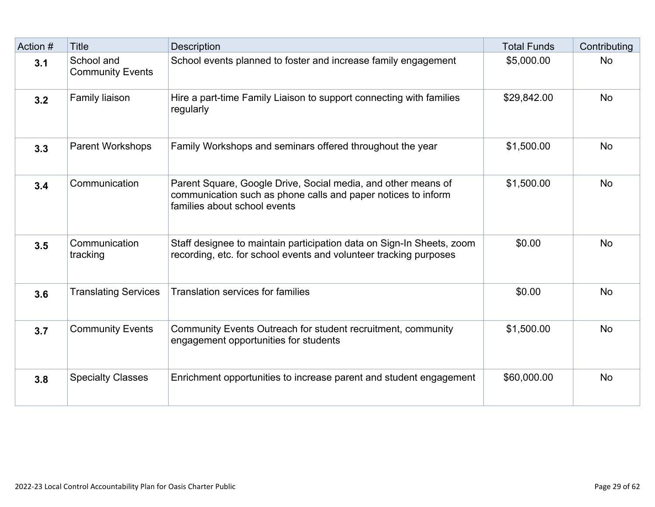| Action # | <b>Title</b>                          | <b>Description</b>                                                                                                                                             | <b>Total Funds</b> | Contributing |
|----------|---------------------------------------|----------------------------------------------------------------------------------------------------------------------------------------------------------------|--------------------|--------------|
| 3.1      | School and<br><b>Community Events</b> | School events planned to foster and increase family engagement                                                                                                 | \$5,000.00         | <b>No</b>    |
| 3.2      | Family liaison                        | Hire a part-time Family Liaison to support connecting with families<br>regularly                                                                               | \$29,842.00        | <b>No</b>    |
| 3.3      | <b>Parent Workshops</b>               | Family Workshops and seminars offered throughout the year                                                                                                      | \$1,500.00         | <b>No</b>    |
| 3.4      | Communication                         | Parent Square, Google Drive, Social media, and other means of<br>communication such as phone calls and paper notices to inform<br>families about school events | \$1,500.00         | <b>No</b>    |
| 3.5      | Communication<br>tracking             | Staff designee to maintain participation data on Sign-In Sheets, zoom<br>recording, etc. for school events and volunteer tracking purposes                     | \$0.00             | <b>No</b>    |
| 3.6      | <b>Translating Services</b>           | <b>Translation services for families</b>                                                                                                                       | \$0.00             | <b>No</b>    |
| 3.7      | <b>Community Events</b>               | Community Events Outreach for student recruitment, community<br>engagement opportunities for students                                                          | \$1,500.00         | <b>No</b>    |
| 3.8      | <b>Specialty Classes</b>              | Enrichment opportunities to increase parent and student engagement                                                                                             | \$60,000.00        | <b>No</b>    |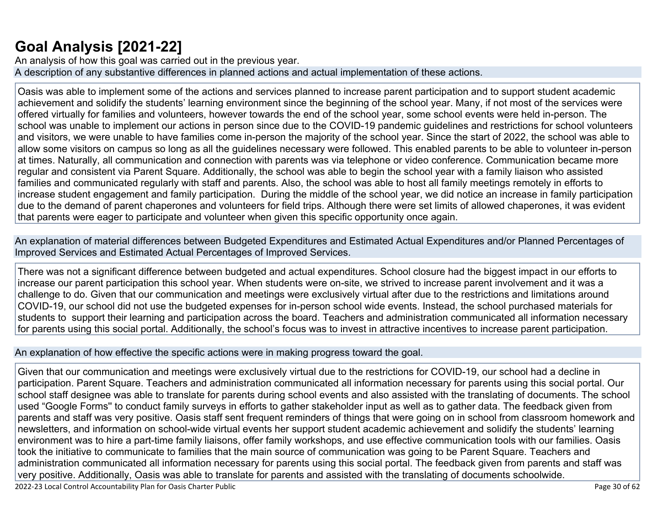# **[Goal Analysis \[2021-22\]](http://www.doc-tracking.com/screenshots/22LCAP/Instructions/22LCAPInstructions.htm#GoalAnalysis)**

An analysis of how this goal was carried out in the previous year. A description of any substantive differences in planned actions and actual implementation of these actions.

Oasis was able to implement some of the actions and services planned to increase parent participation and to support student academic achievement and solidify the students' learning environment since the beginning of the school year. Many, if not most of the services were offered virtually for families and volunteers, however towards the end of the school year, some school events were held in-person. The school was unable to implement our actions in person since due to the COVID-19 pandemic guidelines and restrictions for school volunteers and visitors, we were unable to have families come in-person the majority of the school year. Since the start of 2022, the school was able to allow some visitors on campus so long as all the guidelines necessary were followed. This enabled parents to be able to volunteer in-person at times. Naturally, all communication and connection with parents was via telephone or video conference. Communication became more regular and consistent via Parent Square. Additionally, the school was able to begin the school year with a family liaison who assisted families and communicated regularly with staff and parents. Also, the school was able to host all family meetings remotely in efforts to increase student engagement and family participation. During the middle of the school year, we did notice an increase in family participation due to the demand of parent chaperones and volunteers for field trips. Although there were set limits of allowed chaperones, it was evident that parents were eager to participate and volunteer when given this specific opportunity once again.

An explanation of material differences between Budgeted Expenditures and Estimated Actual Expenditures and/or Planned Percentages of Improved Services and Estimated Actual Percentages of Improved Services.

There was not a significant difference between budgeted and actual expenditures. School closure had the biggest impact in our efforts to increase our parent participation this school year. When students were on-site, we strived to increase parent involvement and it was a challenge to do. Given that our communication and meetings were exclusively virtual after due to the restrictions and limitations around COVID-19, our school did not use the budgeted expenses for in-person school wide events. Instead, the school purchased materials for students to support their learning and participation across the board. Teachers and administration communicated all information necessary for parents using this social portal. Additionally, the school's focus was to invest in attractive incentives to increase parent participation.

An explanation of how effective the specific actions were in making progress toward the goal.

Given that our communication and meetings were exclusively virtual due to the restrictions for COVID-19, our school had a decline in participation. Parent Square. Teachers and administration communicated all information necessary for parents using this social portal. Our school staff designee was able to translate for parents during school events and also assisted with the translating of documents. The school used "Google Forms'' to conduct family surveys in efforts to gather stakeholder input as well as to gather data. The feedback given from parents and staff was very positive. Oasis staff sent frequent reminders of things that were going on in school from classroom homework and newsletters, and information on school-wide virtual events her support student academic achievement and solidify the students' learning environment was to hire a part-time family liaisons, offer family workshops, and use effective communication tools with our families. Oasis took the initiative to communicate to families that the main source of communication was going to be Parent Square. Teachers and administration communicated all information necessary for parents using this social portal. The feedback given from parents and staff was very positive. Additionally, Oasis was able to translate for parents and assisted with the translating of documents schoolwide.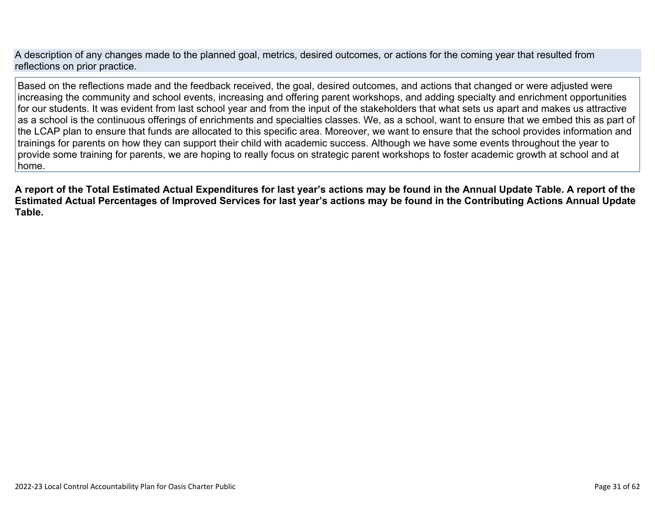A description of any changes made to the planned goal, metrics, desired outcomes, or actions for the coming year that resulted from reflections on prior practice.

Based on the reflections made and the feedback received, the goal, desired outcomes, and actions that changed or were adjusted were increasing the community and school events, increasing and offering parent workshops, and adding specialty and enrichment opportunities for our students. It was evident from last school year and from the input of the stakeholders that what sets us apart and makes us attractive as a school is the continuous offerings of enrichments and specialties classes. We, as a school, want to ensure that we embed this as part of the LCAP plan to ensure that funds are allocated to this specific area. Moreover, we want to ensure that the school provides information and trainings for parents on how they can support their child with academic success. Although we have some events throughout the year to provide some training for parents, we are hoping to really focus on strategic parent workshops to foster academic growth at school and at home.

**A report of the Total Estimated Actual Expenditures for last year's actions may be found in the Annual Update Table. A report of the Estimated Actual Percentages of Improved Services for last year's actions may be found in the Contributing Actions Annual Update Table.**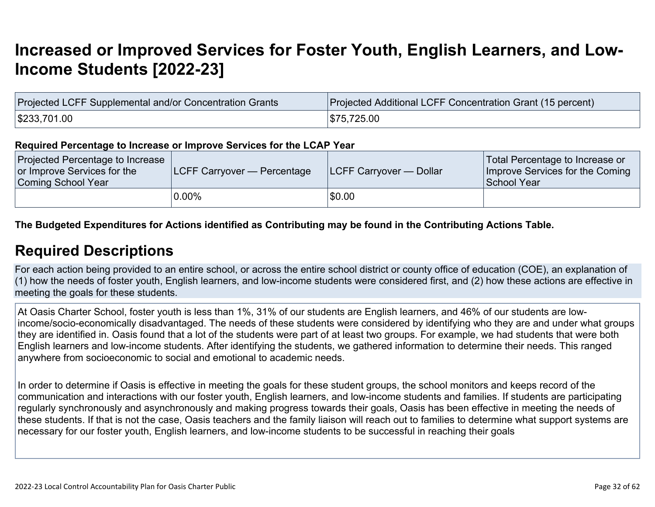# **[Increased or Improved Services for Foster Youth, English Learners, and Low-](http://www.doc-tracking.com/screenshots/22LCAP/Instructions/22LCAPInstructions.htm#IncreasedImprovedServices)[Income Students \[2022-23\]](http://www.doc-tracking.com/screenshots/22LCAP/Instructions/22LCAPInstructions.htm#IncreasedImprovedServices)**

| Projected LCFF Supplemental and/or Concentration Grants | Projected Additional LCFF Concentration Grant (15 percent) |
|---------------------------------------------------------|------------------------------------------------------------|
| \$233,701.00                                            | \$75,725.00                                                |

#### **Required Percentage to Increase or Improve Services for the LCAP Year**

| Projected Percentage to Increase<br>or Improve Services for the<br>Coming School Year | <b>LCFF Carryover — Percentage</b> | <b>ILCFF Carryover — Dollar</b> | Total Percentage to Increase or<br>Improve Services for the Coming<br>School Year |
|---------------------------------------------------------------------------------------|------------------------------------|---------------------------------|-----------------------------------------------------------------------------------|
|                                                                                       | $0.00\%$                           | \$0.00                          |                                                                                   |

#### **The Budgeted Expenditures for Actions identified as Contributing may be found in the Contributing Actions Table.**

### **[Required Descriptions](http://www.doc-tracking.com/screenshots/22LCAP/Instructions/22LCAPInstructions.htm#RequiredDescriptions)**

For each action being provided to an entire school, or across the entire school district or county office of education (COE), an explanation of (1) how the needs of foster youth, English learners, and low-income students were considered first, and (2) how these actions are effective in meeting the goals for these students.

At Oasis Charter School, foster youth is less than 1%, 31% of our students are English learners, and 46% of our students are lowincome/socio-economically disadvantaged. The needs of these students were considered by identifying who they are and under what groups they are identified in. Oasis found that a lot of the students were part of at least two groups. For example, we had students that were both English learners and low-income students. After identifying the students, we gathered information to determine their needs. This ranged anywhere from socioeconomic to social and emotional to academic needs.

In order to determine if Oasis is effective in meeting the goals for these student groups, the school monitors and keeps record of the communication and interactions with our foster youth, English learners, and low-income students and families. If students are participating regularly synchronously and asynchronously and making progress towards their goals, Oasis has been effective in meeting the needs of these students. If that is not the case, Oasis teachers and the family liaison will reach out to families to determine what support systems are necessary for our foster youth, English learners, and low-income students to be successful in reaching their goals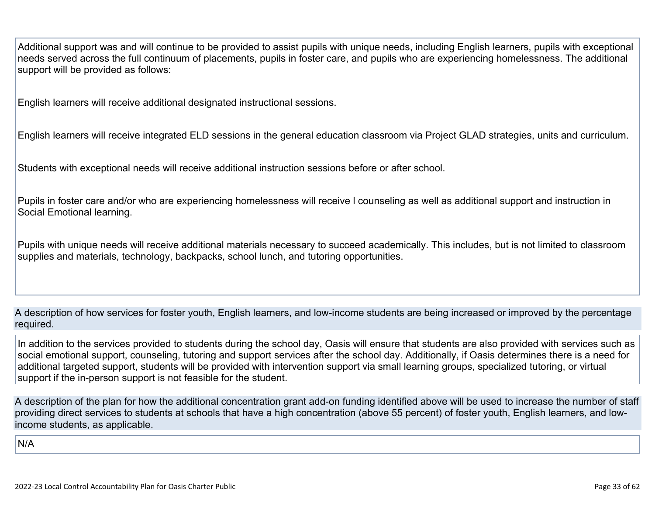Additional support was and will continue to be provided to assist pupils with unique needs, including English learners, pupils with exceptional needs served across the full continuum of placements, pupils in foster care, and pupils who are experiencing homelessness. The additional support will be provided as follows:

English learners will receive additional designated instructional sessions.

English learners will receive integrated ELD sessions in the general education classroom via Project GLAD strategies, units and curriculum.

Students with exceptional needs will receive additional instruction sessions before or after school.

Pupils in foster care and/or who are experiencing homelessness will receive l counseling as well as additional support and instruction in Social Emotional learning.

Pupils with unique needs will receive additional materials necessary to succeed academically. This includes, but is not limited to classroom supplies and materials, technology, backpacks, school lunch, and tutoring opportunities.

A description of how services for foster youth, English learners, and low-income students are being increased or improved by the percentage required.

In addition to the services provided to students during the school day, Oasis will ensure that students are also provided with services such as social emotional support, counseling, tutoring and support services after the school day. Additionally, if Oasis determines there is a need for additional targeted support, students will be provided with intervention support via small learning groups, specialized tutoring, or virtual support if the in-person support is not feasible for the student.

A description of the plan for how the additional concentration grant add-on funding identified above will be used to increase the number of staff providing direct services to students at schools that have a high concentration (above 55 percent) of foster youth, English learners, and lowincome students, as applicable.

N/A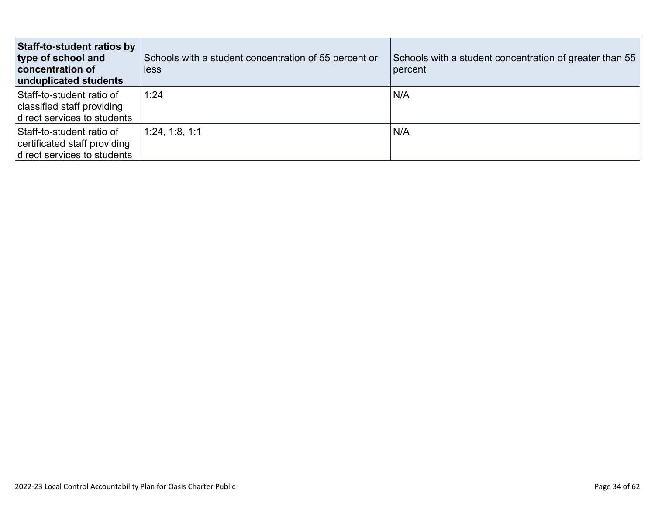| <b>Staff-to-student ratios by</b><br>type of school and<br><b>concentration of</b><br>unduplicated students | Schools with a student concentration of 55 percent or<br>less | Schools with a student concentration of greater than 55<br>percent |
|-------------------------------------------------------------------------------------------------------------|---------------------------------------------------------------|--------------------------------------------------------------------|
| Staff-to-student ratio of<br>classified staff providing<br>direct services to students                      | 1:24                                                          | N/A                                                                |
| Staff-to-student ratio of<br>certificated staff providing<br>direct services to students                    | 1:24, 1:8, 1:1                                                | N/A                                                                |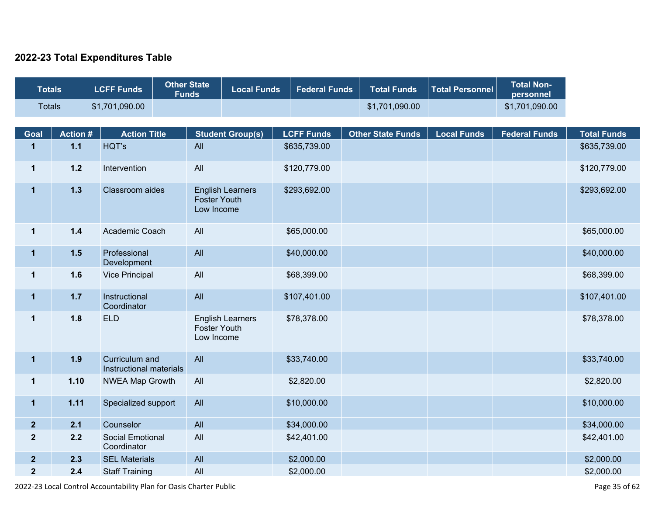#### **2022-23 Total Expenditures Table**

| <b>Totals</b>  |                | <b>LCFF Funds</b>                         | <b>Other State</b><br><b>Funds</b> | <b>Local Funds</b>      | <b>Federal Funds</b> | <b>Total Funds</b>       | <b>Total Personnel</b> | <b>Total Non-</b><br>personnel |                    |
|----------------|----------------|-------------------------------------------|------------------------------------|-------------------------|----------------------|--------------------------|------------------------|--------------------------------|--------------------|
| <b>Totals</b>  |                | \$1,701,090.00                            |                                    |                         |                      | \$1,701,090.00           |                        | \$1,701,090.00                 |                    |
|                |                |                                           |                                    |                         |                      |                          |                        |                                |                    |
| Goal           | <b>Action#</b> | <b>Action Title</b>                       |                                    | <b>Student Group(s)</b> | <b>LCFF Funds</b>    | <b>Other State Funds</b> | <b>Local Funds</b>     | <b>Federal Funds</b>           | <b>Total Funds</b> |
| $\mathbf{1}$   | $1.1$          | HQT's                                     | All                                |                         | \$635,739.00         |                          |                        |                                | \$635,739.00       |
| $\mathbf{1}$   | $1.2$          | Intervention                              | All                                |                         | \$120,779.00         |                          |                        |                                | \$120,779.00       |
| $\mathbf{1}$   | $1.3$          | Classroom aides                           | <b>Foster Youth</b><br>Low Income  | <b>English Learners</b> | \$293,692.00         |                          |                        |                                | \$293,692.00       |
| $\mathbf 1$    | $1.4$          | Academic Coach                            | All                                |                         | \$65,000.00          |                          |                        |                                | \$65,000.00        |
| $\mathbf 1$    | $1.5$          | Professional<br>Development               | All                                |                         | \$40,000.00          |                          |                        |                                | \$40,000.00        |
| $\mathbf{1}$   | 1.6            | <b>Vice Principal</b>                     | All                                |                         | \$68,399.00          |                          |                        |                                | \$68,399.00        |
| $\mathbf{1}$   | $1.7$          | Instructional<br>Coordinator              | All                                |                         | \$107,401.00         |                          |                        |                                | \$107,401.00       |
| $\mathbf{1}$   | 1.8            | <b>ELD</b>                                | <b>Foster Youth</b><br>Low Income  | <b>English Learners</b> | \$78,378.00          |                          |                        |                                | \$78,378.00        |
| $\mathbf{1}$   | 1.9            | Curriculum and<br>Instructional materials | All                                |                         | \$33,740.00          |                          |                        |                                | \$33,740.00        |
| $\mathbf 1$    | 1.10           | <b>NWEA Map Growth</b>                    | All                                |                         | \$2,820.00           |                          |                        |                                | \$2,820.00         |
| $\mathbf 1$    | 1.11           | Specialized support                       | All                                |                         | \$10,000.00          |                          |                        |                                | \$10,000.00        |
| $\mathbf{2}$   | 2.1            | Counselor                                 | All                                |                         | \$34,000.00          |                          |                        |                                | \$34,000.00        |
| $\mathbf 2$    | 2.2            | <b>Social Emotional</b><br>Coordinator    | All                                |                         | \$42,401.00          |                          |                        |                                | \$42,401.00        |
| $\overline{2}$ | 2.3            | <b>SEL Materials</b>                      | All                                |                         | \$2,000.00           |                          |                        |                                | \$2,000.00         |
| $\mathbf{2}$   | 2.4            | <b>Staff Training</b>                     | All                                |                         | \$2,000.00           |                          |                        |                                | \$2,000.00         |

2022-23 Local Control Accountability Plan for Oasis Charter Public Page 35 of 62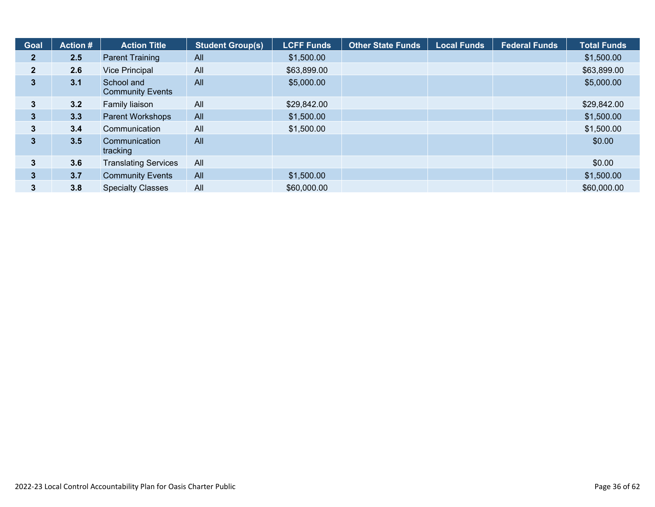| <b>Goal</b>    | Action $#$ | <b>Action Title</b>                   | <b>Student Group(s)</b> | <b>LCFF Funds</b> | <b>Other State Funds</b> | <b>Local Funds</b> | <b>Federal Funds</b> | <b>Total Funds</b> |
|----------------|------------|---------------------------------------|-------------------------|-------------------|--------------------------|--------------------|----------------------|--------------------|
| 2 <sub>1</sub> | 2.5        | <b>Parent Training</b>                | <b>All</b>              | \$1,500.00        |                          |                    |                      | \$1,500.00         |
| $\overline{2}$ | 2.6        | <b>Vice Principal</b>                 | All                     | \$63,899.00       |                          |                    |                      | \$63,899.00        |
| 3              | 3.1        | School and<br><b>Community Events</b> | All                     | \$5,000.00        |                          |                    |                      | \$5,000.00         |
| 3              | 3.2        | Family liaison                        | All                     | \$29,842.00       |                          |                    |                      | \$29,842.00        |
| $\mathbf{3}$   | 3.3        | <b>Parent Workshops</b>               | All                     | \$1,500.00        |                          |                    |                      | \$1,500.00         |
| 3              | 3.4        | Communication                         | All                     | \$1,500.00        |                          |                    |                      | \$1,500.00         |
| 3              | 3.5        | Communication<br>tracking             | All                     |                   |                          |                    |                      | \$0.00             |
| 3              | 3.6        | <b>Translating Services</b>           | All                     |                   |                          |                    |                      | \$0.00             |
| 3              | 3.7        | <b>Community Events</b>               | All                     | \$1,500.00        |                          |                    |                      | \$1,500.00         |
| 3              | 3.8        | <b>Specialty Classes</b>              | All                     | \$60,000.00       |                          |                    |                      | \$60,000.00        |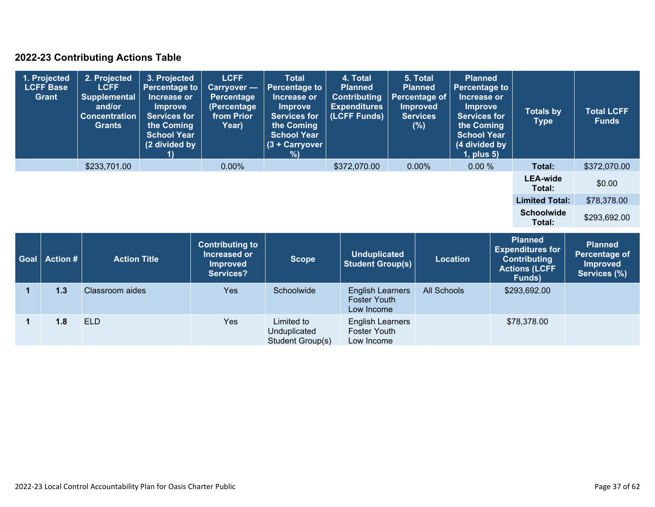#### **2022-23 Contributing Actions Table**

|             | 1. Projected<br><b>LCFF Base</b><br><b>Grant</b> | 2. Projected<br><b>LCFF</b><br><b>Supplemental</b><br>and/or<br><b>Concentration</b><br><b>Grants</b> | 3. Projected<br><b>Percentage to</b><br>Increase or<br><b>Improve</b><br><b>Services for</b><br>the Coming<br><b>School Year</b><br>(2 divided by | <b>LCFF</b><br>Carryover -<br><b>Percentage</b><br>(Percentage<br>from Prior<br>Year) | <b>Total</b><br><b>Percentage to</b><br>Increase or<br><b>Improve</b><br><b>Services for</b><br>the Coming<br><b>School Year</b><br>$(3 + Carrow)$<br>% | 4. Total<br><b>Planned</b><br><b>Contributing</b><br><b>Expenditures</b><br>(LCFF Funds) | 5. Total<br><b>Planned</b><br>Percentage of<br><b>Improved</b><br><b>Services</b><br>(%) | <b>Planned</b><br><b>Percentage to</b><br>Increase or<br><b>Improve</b><br><b>Services for</b><br>the Coming<br><b>School Year</b><br>(4 divided by<br>1, plus 5) | <b>Totals by</b><br><b>Type</b>                                                  | <b>Total LCFF</b><br><b>Funds</b>                                  |
|-------------|--------------------------------------------------|-------------------------------------------------------------------------------------------------------|---------------------------------------------------------------------------------------------------------------------------------------------------|---------------------------------------------------------------------------------------|---------------------------------------------------------------------------------------------------------------------------------------------------------|------------------------------------------------------------------------------------------|------------------------------------------------------------------------------------------|-------------------------------------------------------------------------------------------------------------------------------------------------------------------|----------------------------------------------------------------------------------|--------------------------------------------------------------------|
|             |                                                  | \$233,701.00                                                                                          |                                                                                                                                                   | 0.00%                                                                                 |                                                                                                                                                         | \$372,070.00                                                                             | $0.00\%$                                                                                 | 0.00%                                                                                                                                                             | Total:                                                                           | \$372,070.00                                                       |
|             |                                                  |                                                                                                       |                                                                                                                                                   |                                                                                       |                                                                                                                                                         |                                                                                          |                                                                                          |                                                                                                                                                                   | <b>LEA-wide</b><br>Total:                                                        | \$0.00                                                             |
|             |                                                  |                                                                                                       |                                                                                                                                                   |                                                                                       |                                                                                                                                                         |                                                                                          |                                                                                          |                                                                                                                                                                   | <b>Limited Total:</b>                                                            | \$78,378.00                                                        |
|             |                                                  |                                                                                                       |                                                                                                                                                   |                                                                                       |                                                                                                                                                         |                                                                                          |                                                                                          |                                                                                                                                                                   | <b>Schoolwide</b><br>Total:                                                      | \$293,692.00                                                       |
|             |                                                  |                                                                                                       |                                                                                                                                                   |                                                                                       |                                                                                                                                                         |                                                                                          |                                                                                          |                                                                                                                                                                   | <b>Planned</b>                                                                   |                                                                    |
| Goal        | <b>Action #</b>                                  | <b>Action Title</b>                                                                                   |                                                                                                                                                   | <b>Contributing to</b><br>Increased or<br><b>Improved</b><br><b>Services?</b>         | <b>Scope</b>                                                                                                                                            | <b>Unduplicated</b><br><b>Student Group(s)</b>                                           |                                                                                          | <b>Location</b>                                                                                                                                                   | <b>Expenditures for</b><br><b>Contributing</b><br><b>Actions (LCFF</b><br>Funds) | <b>Planned</b><br>Percentage of<br><b>Improved</b><br>Services (%) |
| $\mathbf 1$ | 1.3                                              | Classroom aides                                                                                       |                                                                                                                                                   | <b>Yes</b>                                                                            | Schoolwide                                                                                                                                              | <b>English Learners</b><br><b>Foster Youth</b><br>Low Income                             |                                                                                          | All Schools                                                                                                                                                       | \$293,692.00                                                                     |                                                                    |

English Learners **Foster Youth** Low Income

Unduplicated Student Group(s)

**1 1.8** ELD **XYES** Limited to

\$78,378.00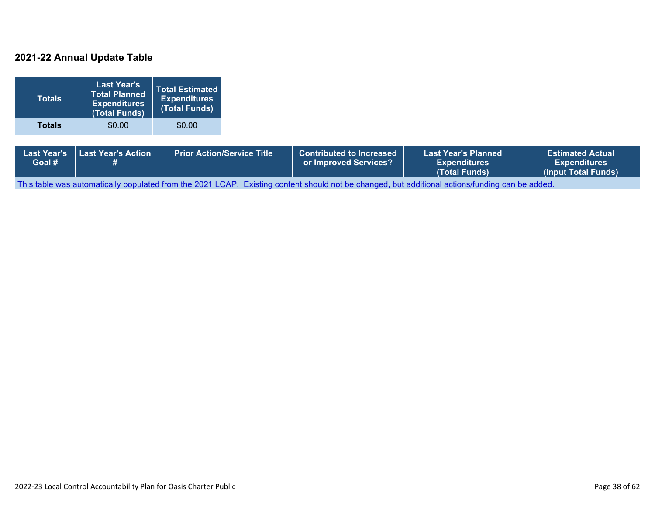#### **2021-22 Annual Update Table**

| <b>Totals</b>                | <b>Last Year's</b><br><b>Total Planned</b><br><b>Expenditures</b><br>(Total Funds) | <b>Total Estimated</b><br><b>Expenditures</b><br>(Total Funds) |                                   |                                                          |                                                                    |                                                                       |
|------------------------------|------------------------------------------------------------------------------------|----------------------------------------------------------------|-----------------------------------|----------------------------------------------------------|--------------------------------------------------------------------|-----------------------------------------------------------------------|
| <b>Totals</b>                | \$0.00                                                                             | \$0.00                                                         |                                   |                                                          |                                                                    |                                                                       |
| <b>Last Year's</b><br>Goal # | Last Year's Action<br>#                                                            |                                                                | <b>Prior Action/Service Title</b> | <b>Contributed to Increased</b><br>or Improved Services? | <b>Last Year's Planned</b><br><b>Expenditures</b><br>(Total Funds) | <b>Estimated Actual</b><br><b>Expenditures</b><br>(Input Total Funds) |

This table was automatically populated from the 2021 LCAP. Existing content should not be changed, but additional actions/funding can be added.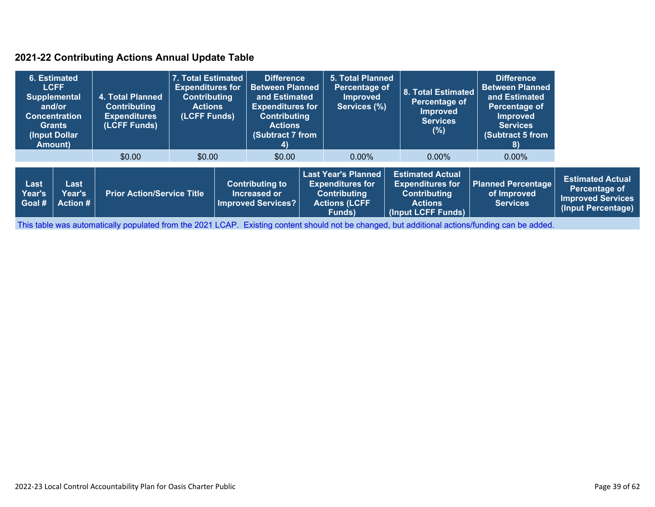#### **2021-22 Contributing Actions Annual Update Table**

|                          | 6. Estimated<br><b>LCFF</b><br><b>Supplemental</b><br>and/or<br><b>Concentration</b><br><b>Grants</b><br>(Input Dollar<br>Amount) | 4. Total Planned<br><b>Contributing</b><br><b>Expenditures</b><br>(LCFF Funds) | 7. Total Estimated<br><b>Expenditures for</b><br><b>Contributing</b><br><b>Actions</b><br>(LCFF Funds) | <b>Difference</b><br><b>Between Planned</b><br>and Estimated<br><b>Expenditures for</b><br><b>Contributing</b><br><b>Actions</b><br>(Subtract 7 from<br>4) |  | <b>5. Total Planned</b><br>Percentage of<br><b>Improved</b><br>Services (%)                                    | <b>8. Total Estimated</b><br>Percentage of<br>Improved<br><b>Services</b><br>(% )                                 | <b>Difference</b><br><b>Between Planned</b><br>and Estimated<br>Percentage of<br><b>Improved</b><br><b>Services</b><br>(Subtract 5 from<br>8) |                                                                                            |
|--------------------------|-----------------------------------------------------------------------------------------------------------------------------------|--------------------------------------------------------------------------------|--------------------------------------------------------------------------------------------------------|------------------------------------------------------------------------------------------------------------------------------------------------------------|--|----------------------------------------------------------------------------------------------------------------|-------------------------------------------------------------------------------------------------------------------|-----------------------------------------------------------------------------------------------------------------------------------------------|--------------------------------------------------------------------------------------------|
|                          |                                                                                                                                   | \$0.00                                                                         | \$0.00                                                                                                 | \$0.00                                                                                                                                                     |  | $0.00\%$                                                                                                       | $0.00\%$                                                                                                          | $0.00\%$                                                                                                                                      |                                                                                            |
| Last<br>Year's<br>Goal # | Last<br>Year's<br><b>Action #</b>                                                                                                 | <b>Prior Action/Service Title</b>                                              |                                                                                                        | <b>Contributing to</b><br>Increased or<br><b>Improved Services?</b>                                                                                        |  | <b>Last Year's Planned</b><br><b>Expenditures for</b><br><b>Contributing</b><br><b>Actions (LCFF</b><br>Funds) | <b>Estimated Actual</b><br><b>Expenditures for</b><br><b>Contributing</b><br><b>Actions</b><br>(Input LCFF Funds) | <b>Planned Percentage</b><br>of Improved<br><b>Services</b>                                                                                   | <b>Estimated Actual</b><br>Percentage of<br><b>Improved Services</b><br>(Input Percentage) |

This table was automatically populated from the 2021 LCAP. Existing content should not be changed, but additional actions/funding can be added.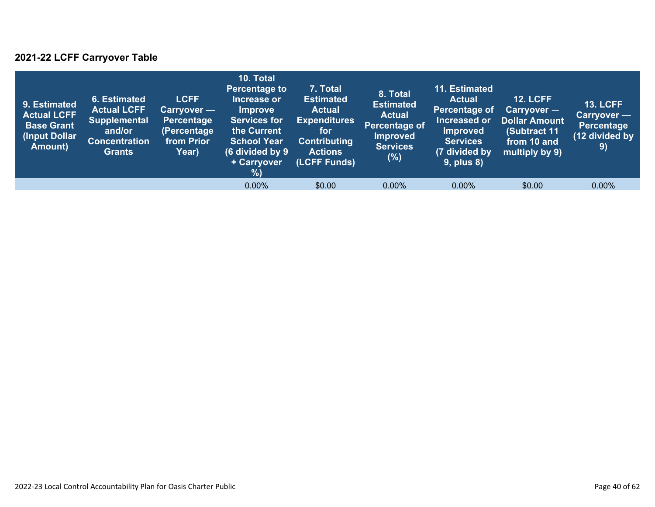### **2021-22 LCFF Carryover Table**

| 9. Estimated<br><b>Actual LCFF</b><br><b>Base Grant</b><br>(Input Dollar<br>Amount) | 6. Estimated<br><b>Actual LCFF</b><br><b>Supplemental</b><br>and/or<br><b>Concentration</b><br><b>Grants</b> | <b>LCFF</b><br>$Carryover -$<br><b>Percentage</b><br>(Percentage<br>from Prior<br>Year) | 10. Total<br><b>Percentage to</b><br>Increase or<br><b>Improve</b><br><b>Services for</b><br>the Current<br><b>School Year</b><br>(6 divided by $9$ $ $<br>+ Carryover<br>%) | 7. Total<br><b>Estimated</b><br><b>Actual</b><br><b>Expenditures</b><br>for <b>i</b><br><b>Contributing</b><br><b>Actions</b><br>(LCFF Funds) | 8. Total<br><b>Estimated</b><br><b>Actual</b><br>Percentage of<br><b>Improved</b><br><b>Services</b><br>$(\%)$ | 11. Estimated<br><b>Actual</b><br>Percentage of<br>Increased or<br><b>Improved</b><br><b>Services</b><br>(7 divided by<br><b>9, plus 8)</b> | <b>12. LCFF</b><br>$Carryover -$<br><b>Dollar Amount</b><br>(Subtract 11)<br>from 10 and<br>multiply by 9) | <b>13. LCFF</b><br>Carryover -<br><b>Percentage</b><br>(12 divided by<br>9) |
|-------------------------------------------------------------------------------------|--------------------------------------------------------------------------------------------------------------|-----------------------------------------------------------------------------------------|------------------------------------------------------------------------------------------------------------------------------------------------------------------------------|-----------------------------------------------------------------------------------------------------------------------------------------------|----------------------------------------------------------------------------------------------------------------|---------------------------------------------------------------------------------------------------------------------------------------------|------------------------------------------------------------------------------------------------------------|-----------------------------------------------------------------------------|
|                                                                                     |                                                                                                              |                                                                                         | $0.00\%$                                                                                                                                                                     | \$0.00                                                                                                                                        | $0.00\%$                                                                                                       | $0.00\%$                                                                                                                                    | \$0.00                                                                                                     | $0.00\%$                                                                    |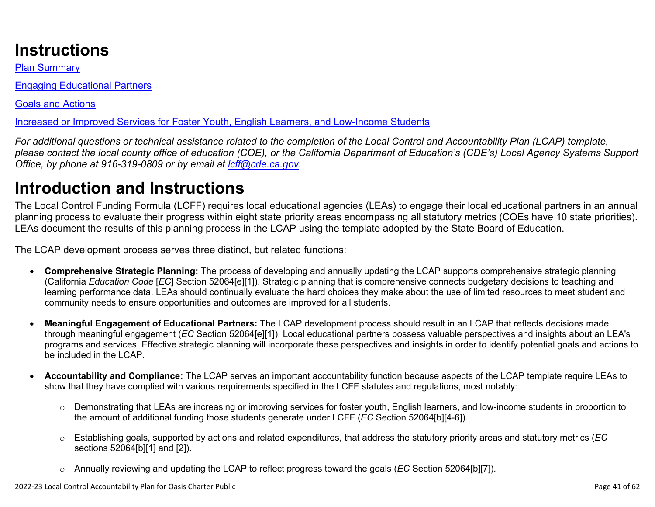# **Instructions**

Plan Summary

Engaging Educational Partners

Goals and Actions

Increased or Improved Services for Foster Youth, English Learners, and Low-Income Students

*For additional questions or technical assistance related to the completion of the Local Control and Accountability Plan (LCAP) template, please contact the local county office of education (COE), or the California Department of Education's (CDE's) Local Agency Systems Support Office, by phone at 916-319-0809 or by email at [lcff@cde.ca.gov](mailto:lcff@cde.ca.gov).*

# **Introduction and Instructions**

The Local Control Funding Formula (LCFF) requires local educational agencies (LEAs) to engage their local educational partners in an annual planning process to evaluate their progress within eight state priority areas encompassing all statutory metrics (COEs have 10 state priorities). LEAs document the results of this planning process in the LCAP using the template adopted by the State Board of Education.

The LCAP development process serves three distinct, but related functions:

- **Comprehensive Strategic Planning:** The process of developing and annually updating the LCAP supports comprehensive strategic planning (California *Education Code* [*EC*] Section 52064[e][1]). Strategic planning that is comprehensive connects budgetary decisions to teaching and learning performance data. LEAs should continually evaluate the hard choices they make about the use of limited resources to meet student and community needs to ensure opportunities and outcomes are improved for all students.
- **Meaningful Engagement of Educational Partners:** The LCAP development process should result in an LCAP that reflects decisions made through meaningful engagement (*EC* Section 52064[e][1]). Local educational partners possess valuable perspectives and insights about an LEA's programs and services. Effective strategic planning will incorporate these perspectives and insights in order to identify potential goals and actions to be included in the LCAP.
- **Accountability and Compliance:** The LCAP serves an important accountability function because aspects of the LCAP template require LEAs to show that they have complied with various requirements specified in the LCFF statutes and regulations, most notably:
	- o Demonstrating that LEAs are increasing or improving services for foster youth, English learners, and low-income students in proportion to the amount of additional funding those students generate under LCFF (*EC* Section 52064[b][4-6]).
	- o Establishing goals, supported by actions and related expenditures, that address the statutory priority areas and statutory metrics (*EC* sections 52064[b][1] and [2]).
	- o Annually reviewing and updating the LCAP to reflect progress toward the goals (*EC* Section 52064[b][7]).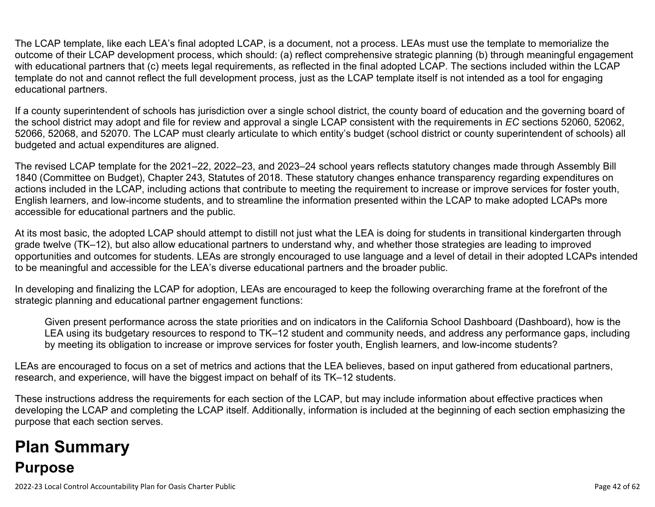The LCAP template, like each LEA's final adopted LCAP, is a document, not a process. LEAs must use the template to memorialize the outcome of their LCAP development process, which should: (a) reflect comprehensive strategic planning (b) through meaningful engagement with educational partners that (c) meets legal requirements, as reflected in the final adopted LCAP. The sections included within the LCAP template do not and cannot reflect the full development process, just as the LCAP template itself is not intended as a tool for engaging educational partners.

If a county superintendent of schools has jurisdiction over a single school district, the county board of education and the governing board of the school district may adopt and file for review and approval a single LCAP consistent with the requirements in *EC* sections 52060, 52062, 52066, 52068, and 52070. The LCAP must clearly articulate to which entity's budget (school district or county superintendent of schools) all budgeted and actual expenditures are aligned.

The revised LCAP template for the 2021–22, 2022–23, and 2023–24 school years reflects statutory changes made through Assembly Bill 1840 (Committee on Budget), Chapter 243, Statutes of 2018. These statutory changes enhance transparency regarding expenditures on actions included in the LCAP, including actions that contribute to meeting the requirement to increase or improve services for foster youth, English learners, and low-income students, and to streamline the information presented within the LCAP to make adopted LCAPs more accessible for educational partners and the public.

At its most basic, the adopted LCAP should attempt to distill not just what the LEA is doing for students in transitional kindergarten through grade twelve (TK–12), but also allow educational partners to understand why, and whether those strategies are leading to improved opportunities and outcomes for students. LEAs are strongly encouraged to use language and a level of detail in their adopted LCAPs intended to be meaningful and accessible for the LEA's diverse educational partners and the broader public.

In developing and finalizing the LCAP for adoption, LEAs are encouraged to keep the following overarching frame at the forefront of the strategic planning and educational partner engagement functions:

Given present performance across the state priorities and on indicators in the California School Dashboard (Dashboard), how is the LEA using its budgetary resources to respond to TK–12 student and community needs, and address any performance gaps, including by meeting its obligation to increase or improve services for foster youth, English learners, and low-income students?

LEAs are encouraged to focus on a set of metrics and actions that the LEA believes, based on input gathered from educational partners, research, and experience, will have the biggest impact on behalf of its TK–12 students.

These instructions address the requirements for each section of the LCAP, but may include information about effective practices when developing the LCAP and completing the LCAP itself. Additionally, information is included at the beginning of each section emphasizing the purpose that each section serves.

# **Plan Summary Purpose**

2022-23 Local Control Accountability Plan for Oasis Charter Public Page 42 of 62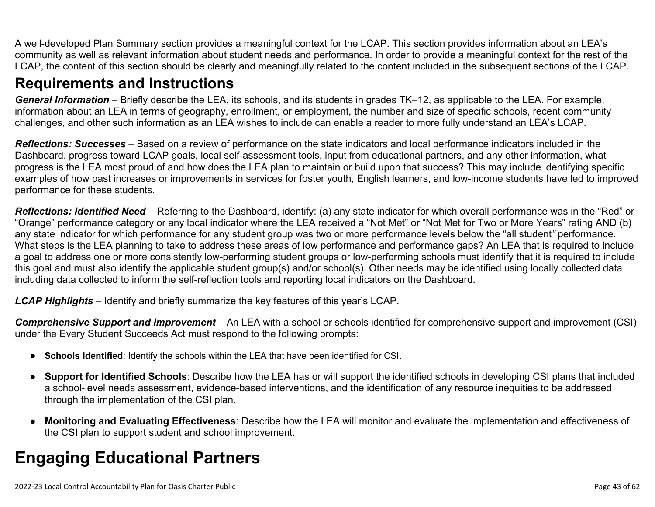A well-developed Plan Summary section provides a meaningful context for the LCAP. This section provides information about an LEA's community as well as relevant information about student needs and performance. In order to provide a meaningful context for the rest of the LCAP, the content of this section should be clearly and meaningfully related to the content included in the subsequent sections of the LCAP.

## **Requirements and Instructions**

*General Information* – Briefly describe the LEA, its schools, and its students in grades TK–12, as applicable to the LEA. For example, information about an LEA in terms of geography, enrollment, or employment, the number and size of specific schools, recent community challenges, and other such information as an LEA wishes to include can enable a reader to more fully understand an LEA's LCAP.

*Reflections: Successes* – Based on a review of performance on the state indicators and local performance indicators included in the Dashboard, progress toward LCAP goals, local self-assessment tools, input from educational partners, and any other information, what progress is the LEA most proud of and how does the LEA plan to maintain or build upon that success? This may include identifying specific examples of how past increases or improvements in services for foster youth, English learners, and low-income students have led to improved performance for these students.

*Reflections: Identified Need* – Referring to the Dashboard, identify: (a) any state indicator for which overall performance was in the "Red" or "Orange" performance category or any local indicator where the LEA received a "Not Met" or "Not Met for Two or More Years" rating AND (b) any state indicator for which performance for any student group was two or more performance levels below the "all student*"* performance. What steps is the LEA planning to take to address these areas of low performance and performance gaps? An LEA that is required to include a goal to address one or more consistently low-performing student groups or low-performing schools must identify that it is required to include this goal and must also identify the applicable student group(s) and/or school(s). Other needs may be identified using locally collected data including data collected to inform the self-reflection tools and reporting local indicators on the Dashboard.

*LCAP Highlights* – Identify and briefly summarize the key features of this year's LCAP.

*Comprehensive Support and Improvement* – An LEA with a school or schools identified for comprehensive support and improvement (CSI) under the Every Student Succeeds Act must respond to the following prompts:

- **Schools Identified**: Identify the schools within the LEA that have been identified for CSI.
- **Support for Identified Schools**: Describe how the LEA has or will support the identified schools in developing CSI plans that included a school-level needs assessment, evidence-based interventions, and the identification of any resource inequities to be addressed through the implementation of the CSI plan.
- **Monitoring and Evaluating Effectiveness**: Describe how the LEA will monitor and evaluate the implementation and effectiveness of the CSI plan to support student and school improvement.

# **Engaging Educational Partners**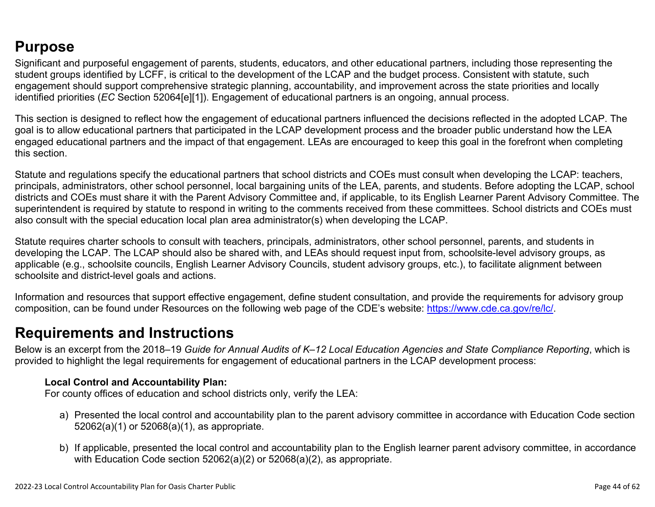## **Purpose**

Significant and purposeful engagement of parents, students, educators, and other educational partners, including those representing the student groups identified by LCFF, is critical to the development of the LCAP and the budget process. Consistent with statute, such engagement should support comprehensive strategic planning, accountability, and improvement across the state priorities and locally identified priorities (*EC* Section 52064[e][1]). Engagement of educational partners is an ongoing, annual process.

This section is designed to reflect how the engagement of educational partners influenced the decisions reflected in the adopted LCAP. The goal is to allow educational partners that participated in the LCAP development process and the broader public understand how the LEA engaged educational partners and the impact of that engagement. LEAs are encouraged to keep this goal in the forefront when completing this section.

Statute and regulations specify the educational partners that school districts and COEs must consult when developing the LCAP: teachers, principals, administrators, other school personnel, local bargaining units of the LEA, parents, and students. Before adopting the LCAP, school districts and COEs must share it with the Parent Advisory Committee and, if applicable, to its English Learner Parent Advisory Committee. The superintendent is required by statute to respond in writing to the comments received from these committees. School districts and COEs must also consult with the special education local plan area administrator(s) when developing the LCAP.

Statute requires charter schools to consult with teachers, principals, administrators, other school personnel, parents, and students in developing the LCAP. The LCAP should also be shared with, and LEAs should request input from, schoolsite-level advisory groups, as applicable (e.g., schoolsite councils, English Learner Advisory Councils, student advisory groups, etc.), to facilitate alignment between schoolsite and district-level goals and actions.

Information and resources that support effective engagement, define student consultation, and provide the requirements for advisory group composition, can be found under Resources on the following web page of the CDE's website: <https://www.cde.ca.gov/re/lc/>.

### **Requirements and Instructions**

Below is an excerpt from the 2018–19 *Guide for Annual Audits of K–12 Local Education Agencies and State Compliance Reporting*, which is provided to highlight the legal requirements for engagement of educational partners in the LCAP development process:

#### **Local Control and Accountability Plan:**

For county offices of education and school districts only, verify the LEA:

- a) Presented the local control and accountability plan to the parent advisory committee in accordance with Education Code section 52062(a)(1) or 52068(a)(1), as appropriate.
- b) If applicable, presented the local control and accountability plan to the English learner parent advisory committee, in accordance with Education Code section 52062(a)(2) or 52068(a)(2), as appropriate.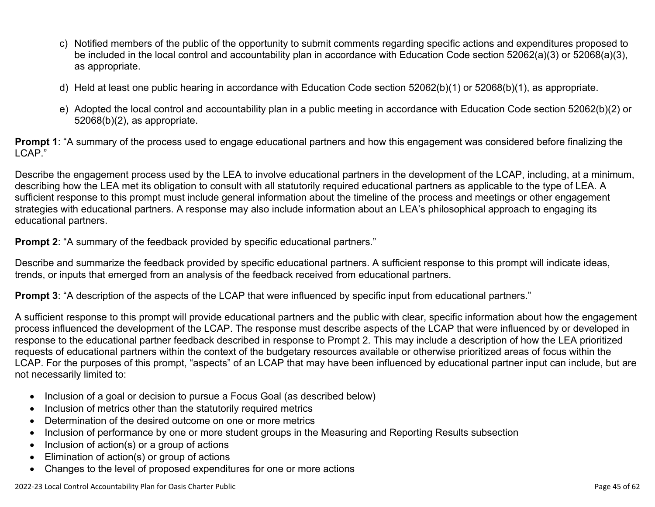- c) Notified members of the public of the opportunity to submit comments regarding specific actions and expenditures proposed to be included in the local control and accountability plan in accordance with Education Code section 52062(a)(3) or 52068(a)(3), as appropriate.
- d) Held at least one public hearing in accordance with Education Code section 52062(b)(1) or 52068(b)(1), as appropriate.
- e) Adopted the local control and accountability plan in a public meeting in accordance with Education Code section 52062(b)(2) or 52068(b)(2), as appropriate.

**Prompt 1**: "A summary of the process used to engage educational partners and how this engagement was considered before finalizing the LCAP."

Describe the engagement process used by the LEA to involve educational partners in the development of the LCAP, including, at a minimum, describing how the LEA met its obligation to consult with all statutorily required educational partners as applicable to the type of LEA. A sufficient response to this prompt must include general information about the timeline of the process and meetings or other engagement strategies with educational partners. A response may also include information about an LEA's philosophical approach to engaging its educational partners.

**Prompt 2:** "A summary of the feedback provided by specific educational partners."

Describe and summarize the feedback provided by specific educational partners. A sufficient response to this prompt will indicate ideas, trends, or inputs that emerged from an analysis of the feedback received from educational partners.

**Prompt 3**: "A description of the aspects of the LCAP that were influenced by specific input from educational partners."

A sufficient response to this prompt will provide educational partners and the public with clear, specific information about how the engagement process influenced the development of the LCAP. The response must describe aspects of the LCAP that were influenced by or developed in response to the educational partner feedback described in response to Prompt 2. This may include a description of how the LEA prioritized requests of educational partners within the context of the budgetary resources available or otherwise prioritized areas of focus within the LCAP. For the purposes of this prompt, "aspects" of an LCAP that may have been influenced by educational partner input can include, but are not necessarily limited to:

- Inclusion of a goal or decision to pursue a Focus Goal (as described below)
- Inclusion of metrics other than the statutorily required metrics
- Determination of the desired outcome on one or more metrics
- Inclusion of performance by one or more student groups in the Measuring and Reporting Results subsection
- Inclusion of action(s) or a group of actions
- Elimination of action(s) or group of actions
- Changes to the level of proposed expenditures for one or more actions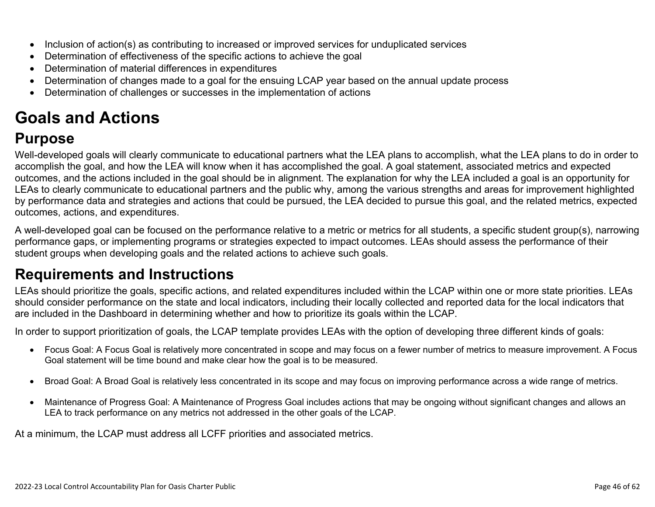- Inclusion of action(s) as contributing to increased or improved services for unduplicated services
- Determination of effectiveness of the specific actions to achieve the goal
- Determination of material differences in expenditures
- Determination of changes made to a goal for the ensuing LCAP year based on the annual update process
- Determination of challenges or successes in the implementation of actions

# **Goals and Actions**

## **Purpose**

Well-developed goals will clearly communicate to educational partners what the LEA plans to accomplish, what the LEA plans to do in order to accomplish the goal, and how the LEA will know when it has accomplished the goal. A goal statement, associated metrics and expected outcomes, and the actions included in the goal should be in alignment. The explanation for why the LEA included a goal is an opportunity for LEAs to clearly communicate to educational partners and the public why, among the various strengths and areas for improvement highlighted by performance data and strategies and actions that could be pursued, the LEA decided to pursue this goal, and the related metrics, expected outcomes, actions, and expenditures.

A well-developed goal can be focused on the performance relative to a metric or metrics for all students, a specific student group(s), narrowing performance gaps, or implementing programs or strategies expected to impact outcomes. LEAs should assess the performance of their student groups when developing goals and the related actions to achieve such goals.

## **Requirements and Instructions**

LEAs should prioritize the goals, specific actions, and related expenditures included within the LCAP within one or more state priorities. LEAs should consider performance on the state and local indicators, including their locally collected and reported data for the local indicators that are included in the Dashboard in determining whether and how to prioritize its goals within the LCAP.

In order to support prioritization of goals, the LCAP template provides LEAs with the option of developing three different kinds of goals:

- Focus Goal: A Focus Goal is relatively more concentrated in scope and may focus on a fewer number of metrics to measure improvement. A Focus Goal statement will be time bound and make clear how the goal is to be measured.
- Broad Goal: A Broad Goal is relatively less concentrated in its scope and may focus on improving performance across a wide range of metrics.
- Maintenance of Progress Goal: A Maintenance of Progress Goal includes actions that may be ongoing without significant changes and allows an LEA to track performance on any metrics not addressed in the other goals of the LCAP.

At a minimum, the LCAP must address all LCFF priorities and associated metrics.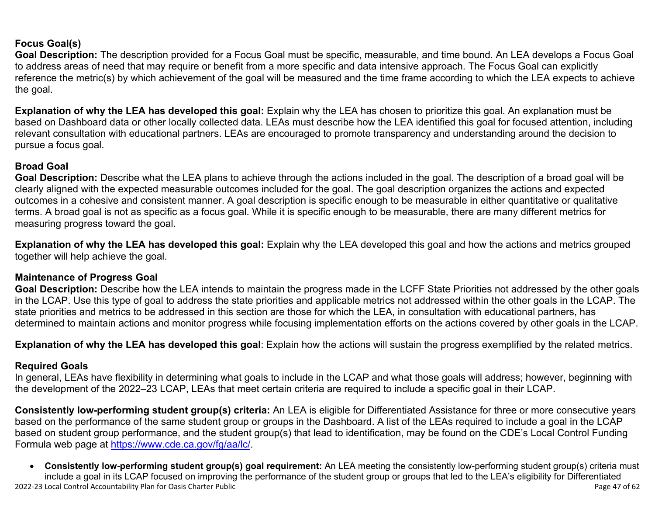#### **Focus Goal(s)**

**Goal Description:** The description provided for a Focus Goal must be specific, measurable, and time bound. An LEA develops a Focus Goal to address areas of need that may require or benefit from a more specific and data intensive approach. The Focus Goal can explicitly reference the metric(s) by which achievement of the goal will be measured and the time frame according to which the LEA expects to achieve the goal.

**Explanation of why the LEA has developed this goal:** Explain why the LEA has chosen to prioritize this goal. An explanation must be based on Dashboard data or other locally collected data. LEAs must describe how the LEA identified this goal for focused attention, including relevant consultation with educational partners. LEAs are encouraged to promote transparency and understanding around the decision to pursue a focus goal.

#### **Broad Goal**

Goal Description: Describe what the LEA plans to achieve through the actions included in the goal. The description of a broad goal will be clearly aligned with the expected measurable outcomes included for the goal. The goal description organizes the actions and expected outcomes in a cohesive and consistent manner. A goal description is specific enough to be measurable in either quantitative or qualitative terms. A broad goal is not as specific as a focus goal. While it is specific enough to be measurable, there are many different metrics for measuring progress toward the goal.

**Explanation of why the LEA has developed this goal:** Explain why the LEA developed this goal and how the actions and metrics grouped together will help achieve the goal.

#### **Maintenance of Progress Goal**

**Goal Description:** Describe how the LEA intends to maintain the progress made in the LCFF State Priorities not addressed by the other goals in the LCAP. Use this type of goal to address the state priorities and applicable metrics not addressed within the other goals in the LCAP. The state priorities and metrics to be addressed in this section are those for which the LEA, in consultation with educational partners, has determined to maintain actions and monitor progress while focusing implementation efforts on the actions covered by other goals in the LCAP.

**Explanation of why the LEA has developed this goal**: Explain how the actions will sustain the progress exemplified by the related metrics.

#### **Required Goals**

In general, LEAs have flexibility in determining what goals to include in the LCAP and what those goals will address; however, beginning with the development of the 2022–23 LCAP, LEAs that meet certain criteria are required to include a specific goal in their LCAP.

**Consistently low-performing student group(s) criteria:** An LEA is eligible for Differentiated Assistance for three or more consecutive years based on the performance of the same student group or groups in the Dashboard. A list of the LEAs required to include a goal in the LCAP based on student group performance, and the student group(s) that lead to identification, may be found on the CDE's Local Control Funding Formula web page at [https://www.cde.ca.gov/fg/aa/lc/.](https://www.cde.ca.gov/fg/aa/lc/)

2022-23 Local Control Accountability Plan for Oasis Charter Public Page 47 of 62 • **Consistently low-performing student group(s) goal requirement:** An LEA meeting the consistently low-performing student group(s) criteria must include a goal in its LCAP focused on improving the performance of the student group or groups that led to the LEA's eligibility for Differentiated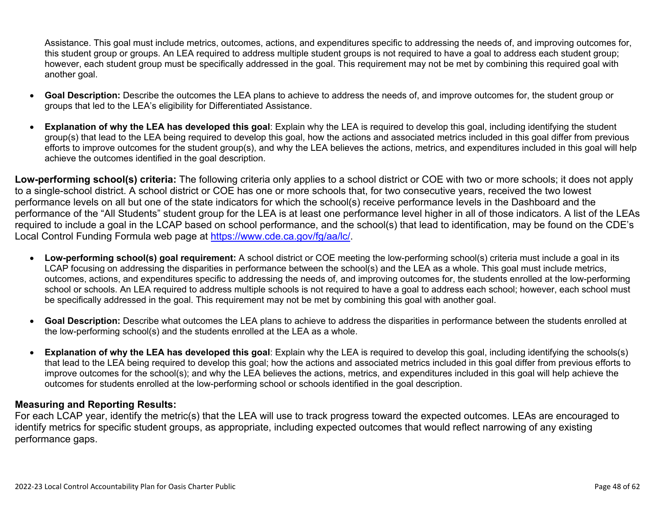Assistance. This goal must include metrics, outcomes, actions, and expenditures specific to addressing the needs of, and improving outcomes for, this student group or groups. An LEA required to address multiple student groups is not required to have a goal to address each student group; however, each student group must be specifically addressed in the goal. This requirement may not be met by combining this required goal with another goal.

- **Goal Description:** Describe the outcomes the LEA plans to achieve to address the needs of, and improve outcomes for, the student group or groups that led to the LEA's eligibility for Differentiated Assistance.
- **Explanation of why the LEA has developed this goal**: Explain why the LEA is required to develop this goal, including identifying the student group(s) that lead to the LEA being required to develop this goal, how the actions and associated metrics included in this goal differ from previous efforts to improve outcomes for the student group(s), and why the LEA believes the actions, metrics, and expenditures included in this goal will help achieve the outcomes identified in the goal description.

**Low-performing school(s) criteria:** The following criteria only applies to a school district or COE with two or more schools; it does not apply to a single-school district. A school district or COE has one or more schools that, for two consecutive years, received the two lowest performance levels on all but one of the state indicators for which the school(s) receive performance levels in the Dashboard and the performance of the "All Students" student group for the LEA is at least one performance level higher in all of those indicators. A list of the LEAs required to include a goal in the LCAP based on school performance, and the school(s) that lead to identification, may be found on the CDE's Local Control Funding Formula web page at [https://www.cde.ca.gov/fg/aa/lc/.](https://www.cde.ca.gov/fg/aa/lc/)

- **Low-performing school(s) goal requirement:** A school district or COE meeting the low-performing school(s) criteria must include a goal in its LCAP focusing on addressing the disparities in performance between the school(s) and the LEA as a whole. This goal must include metrics, outcomes, actions, and expenditures specific to addressing the needs of, and improving outcomes for, the students enrolled at the low-performing school or schools. An LEA required to address multiple schools is not required to have a goal to address each school; however, each school must be specifically addressed in the goal. This requirement may not be met by combining this goal with another goal.
- **Goal Description:** Describe what outcomes the LEA plans to achieve to address the disparities in performance between the students enrolled at the low-performing school(s) and the students enrolled at the LEA as a whole.
- **Explanation of why the LEA has developed this goal**: Explain why the LEA is required to develop this goal, including identifying the schools(s) that lead to the LEA being required to develop this goal; how the actions and associated metrics included in this goal differ from previous efforts to improve outcomes for the school(s); and why the LEA believes the actions, metrics, and expenditures included in this goal will help achieve the outcomes for students enrolled at the low-performing school or schools identified in the goal description.

#### **Measuring and Reporting Results:**

For each LCAP year, identify the metric(s) that the LEA will use to track progress toward the expected outcomes. LEAs are encouraged to identify metrics for specific student groups, as appropriate, including expected outcomes that would reflect narrowing of any existing performance gaps.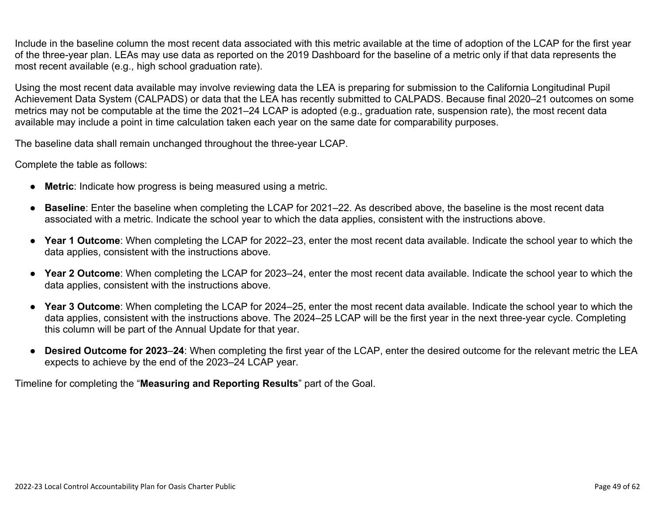Include in the baseline column the most recent data associated with this metric available at the time of adoption of the LCAP for the first year of the three-year plan. LEAs may use data as reported on the 2019 Dashboard for the baseline of a metric only if that data represents the most recent available (e.g., high school graduation rate).

Using the most recent data available may involve reviewing data the LEA is preparing for submission to the California Longitudinal Pupil Achievement Data System (CALPADS) or data that the LEA has recently submitted to CALPADS. Because final 2020–21 outcomes on some metrics may not be computable at the time the 2021–24 LCAP is adopted (e.g., graduation rate, suspension rate), the most recent data available may include a point in time calculation taken each year on the same date for comparability purposes.

The baseline data shall remain unchanged throughout the three-year LCAP.

Complete the table as follows:

- **Metric**: Indicate how progress is being measured using a metric.
- **Baseline**: Enter the baseline when completing the LCAP for 2021–22. As described above, the baseline is the most recent data associated with a metric. Indicate the school year to which the data applies, consistent with the instructions above.
- **Year 1 Outcome**: When completing the LCAP for 2022–23, enter the most recent data available. Indicate the school year to which the data applies, consistent with the instructions above.
- **Year 2 Outcome**: When completing the LCAP for 2023–24, enter the most recent data available. Indicate the school year to which the data applies, consistent with the instructions above.
- **Year 3 Outcome**: When completing the LCAP for 2024–25, enter the most recent data available. Indicate the school year to which the data applies, consistent with the instructions above. The 2024–25 LCAP will be the first year in the next three-year cycle. Completing this column will be part of the Annual Update for that year.
- **Desired Outcome for 2023**–**24**: When completing the first year of the LCAP, enter the desired outcome for the relevant metric the LEA expects to achieve by the end of the 2023–24 LCAP year.

Timeline for completing the "**Measuring and Reporting Results**" part of the Goal.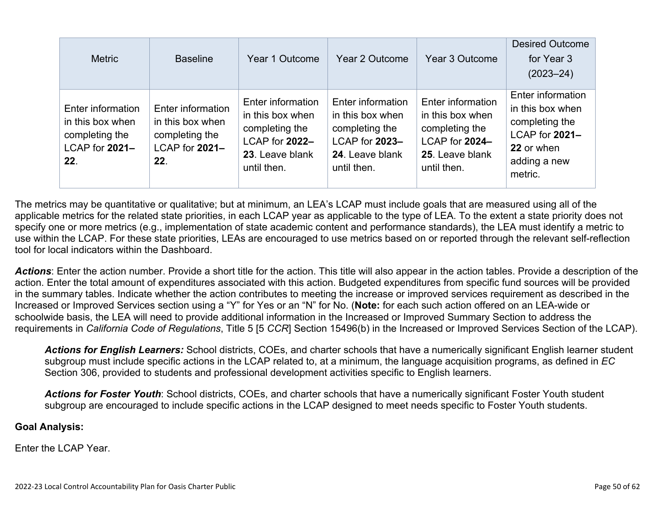| <b>Metric</b>                                                                    | <b>Baseline</b>                                                                  | Year 1 Outcome                                                                                              | Year 2 Outcome                                                                                              | Year 3 Outcome                                                                                              | <b>Desired Outcome</b><br>for Year 3<br>$(2023 - 24)$                                                              |
|----------------------------------------------------------------------------------|----------------------------------------------------------------------------------|-------------------------------------------------------------------------------------------------------------|-------------------------------------------------------------------------------------------------------------|-------------------------------------------------------------------------------------------------------------|--------------------------------------------------------------------------------------------------------------------|
| Enter information<br>in this box when<br>completing the<br>LCAP for 2021-<br>22. | Enter information<br>in this box when<br>completing the<br>LCAP for 2021-<br>22. | Enter information<br>in this box when<br>completing the<br>LCAP for 2022-<br>23. Leave blank<br>until then. | Enter information<br>in this box when<br>completing the<br>LCAP for 2023-<br>24. Leave blank<br>until then. | Enter information<br>in this box when<br>completing the<br>LCAP for 2024-<br>25. Leave blank<br>until then. | Enter information<br>in this box when<br>completing the<br>LCAP for 2021-<br>22 or when<br>adding a new<br>metric. |

The metrics may be quantitative or qualitative; but at minimum, an LEA's LCAP must include goals that are measured using all of the applicable metrics for the related state priorities, in each LCAP year as applicable to the type of LEA. To the extent a state priority does not specify one or more metrics (e.g., implementation of state academic content and performance standards), the LEA must identify a metric to use within the LCAP. For these state priorities, LEAs are encouraged to use metrics based on or reported through the relevant self-reflection tool for local indicators within the Dashboard.

*Actions*: Enter the action number. Provide a short title for the action. This title will also appear in the action tables. Provide a description of the action. Enter the total amount of expenditures associated with this action. Budgeted expenditures from specific fund sources will be provided in the summary tables. Indicate whether the action contributes to meeting the increase or improved services requirement as described in the Increased or Improved Services section using a "Y" for Yes or an "N" for No. (**Note:** for each such action offered on an LEA-wide or schoolwide basis, the LEA will need to provide additional information in the Increased or Improved Summary Section to address the requirements in *California Code of Regulations*, Title 5 [5 *CCR*] Section 15496(b) in the Increased or Improved Services Section of the LCAP).

*Actions for English Learners:* School districts, COEs, and charter schools that have a numerically significant English learner student subgroup must include specific actions in the LCAP related to, at a minimum, the language acquisition programs, as defined in *EC* Section 306, provided to students and professional development activities specific to English learners.

*Actions for Foster Youth*: School districts, COEs, and charter schools that have a numerically significant Foster Youth student subgroup are encouraged to include specific actions in the LCAP designed to meet needs specific to Foster Youth students.

#### **Goal Analysis:**

Enter the LCAP Year.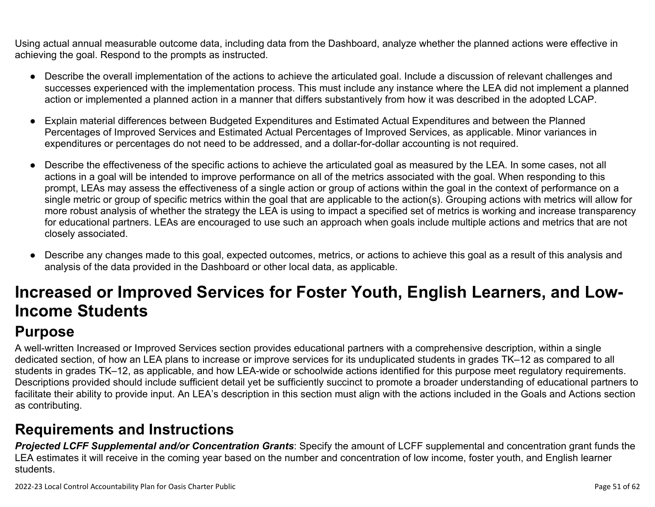Using actual annual measurable outcome data, including data from the Dashboard, analyze whether the planned actions were effective in achieving the goal. Respond to the prompts as instructed.

- Describe the overall implementation of the actions to achieve the articulated goal. Include a discussion of relevant challenges and successes experienced with the implementation process. This must include any instance where the LEA did not implement a planned action or implemented a planned action in a manner that differs substantively from how it was described in the adopted LCAP.
- Explain material differences between Budgeted Expenditures and Estimated Actual Expenditures and between the Planned Percentages of Improved Services and Estimated Actual Percentages of Improved Services, as applicable. Minor variances in expenditures or percentages do not need to be addressed, and a dollar-for-dollar accounting is not required.
- Describe the effectiveness of the specific actions to achieve the articulated goal as measured by the LEA. In some cases, not all actions in a goal will be intended to improve performance on all of the metrics associated with the goal. When responding to this prompt, LEAs may assess the effectiveness of a single action or group of actions within the goal in the context of performance on a single metric or group of specific metrics within the goal that are applicable to the action(s). Grouping actions with metrics will allow for more robust analysis of whether the strategy the LEA is using to impact a specified set of metrics is working and increase transparency for educational partners. LEAs are encouraged to use such an approach when goals include multiple actions and metrics that are not closely associated.
- Describe any changes made to this goal, expected outcomes, metrics, or actions to achieve this goal as a result of this analysis and analysis of the data provided in the Dashboard or other local data, as applicable.

# **Increased or Improved Services for Foster Youth, English Learners, and Low-Income Students**

# **Purpose**

A well-written Increased or Improved Services section provides educational partners with a comprehensive description, within a single dedicated section, of how an LEA plans to increase or improve services for its unduplicated students in grades TK–12 as compared to all students in grades TK–12, as applicable, and how LEA-wide or schoolwide actions identified for this purpose meet regulatory requirements. Descriptions provided should include sufficient detail yet be sufficiently succinct to promote a broader understanding of educational partners to facilitate their ability to provide input. An LEA's description in this section must align with the actions included in the Goals and Actions section as contributing.

## **Requirements and Instructions**

*Projected LCFF Supplemental and/or Concentration Grants*: Specify the amount of LCFF supplemental and concentration grant funds the LEA estimates it will receive in the coming year based on the number and concentration of low income, foster youth, and English learner students.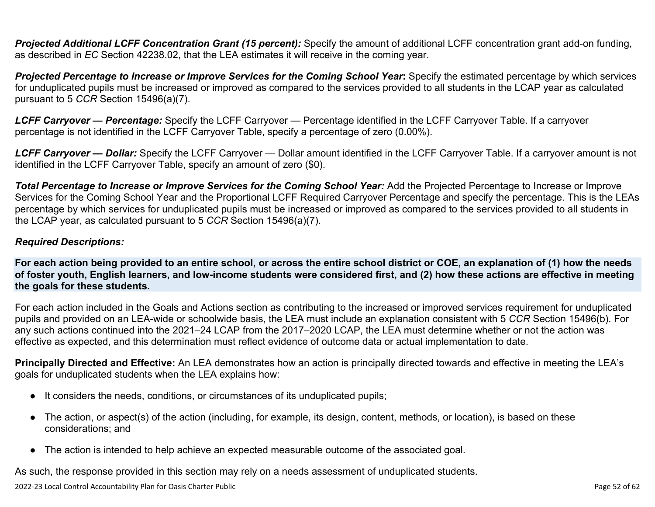**Projected Additional LCFF Concentration Grant (15 percent):** Specify the amount of additional LCFF concentration grant add-on funding, as described in *EC* Section 42238.02, that the LEA estimates it will receive in the coming year.

*Projected Percentage to Increase or Improve Services for the Coming School Year***:** Specify the estimated percentage by which services for unduplicated pupils must be increased or improved as compared to the services provided to all students in the LCAP year as calculated pursuant to 5 *CCR* Section 15496(a)(7).

*LCFF Carryover — Percentage:* Specify the LCFF Carryover — Percentage identified in the LCFF Carryover Table. If a carryover percentage is not identified in the LCFF Carryover Table, specify a percentage of zero (0.00%).

*LCFF Carryover — Dollar:* Specify the LCFF Carryover — Dollar amount identified in the LCFF Carryover Table. If a carryover amount is not identified in the LCFF Carryover Table, specify an amount of zero (\$0).

**Total Percentage to Increase or Improve Services for the Coming School Year:** Add the Projected Percentage to Increase or Improve Services for the Coming School Year and the Proportional LCFF Required Carryover Percentage and specify the percentage. This is the LEAs percentage by which services for unduplicated pupils must be increased or improved as compared to the services provided to all students in the LCAP year, as calculated pursuant to 5 *CCR* Section 15496(a)(7).

#### *Required Descriptions:*

**For each action being provided to an entire school, or across the entire school district or COE, an explanation of (1) how the needs of foster youth, English learners, and low-income students were considered first, and (2) how these actions are effective in meeting the goals for these students.**

For each action included in the Goals and Actions section as contributing to the increased or improved services requirement for unduplicated pupils and provided on an LEA-wide or schoolwide basis, the LEA must include an explanation consistent with 5 *CCR* Section 15496(b). For any such actions continued into the 2021–24 LCAP from the 2017–2020 LCAP, the LEA must determine whether or not the action was effective as expected, and this determination must reflect evidence of outcome data or actual implementation to date.

**Principally Directed and Effective:** An LEA demonstrates how an action is principally directed towards and effective in meeting the LEA's goals for unduplicated students when the LEA explains how:

- It considers the needs, conditions, or circumstances of its unduplicated pupils;
- The action, or aspect(s) of the action (including, for example, its design, content, methods, or location), is based on these considerations; and
- The action is intended to help achieve an expected measurable outcome of the associated goal.

As such, the response provided in this section may rely on a needs assessment of unduplicated students.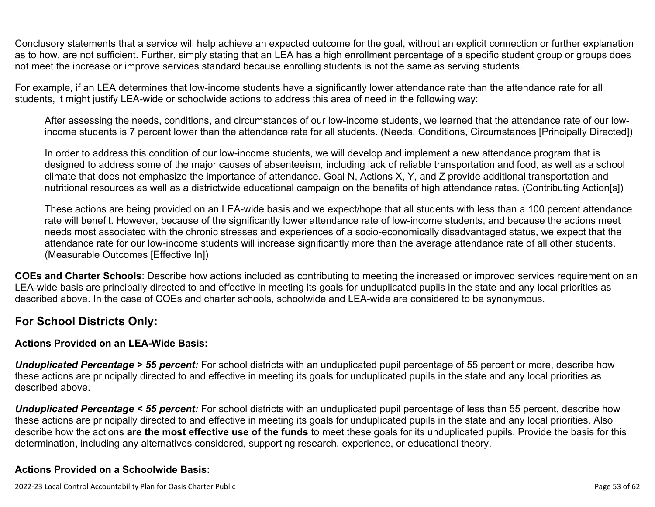Conclusory statements that a service will help achieve an expected outcome for the goal, without an explicit connection or further explanation as to how, are not sufficient. Further, simply stating that an LEA has a high enrollment percentage of a specific student group or groups does not meet the increase or improve services standard because enrolling students is not the same as serving students.

For example, if an LEA determines that low-income students have a significantly lower attendance rate than the attendance rate for all students, it might justify LEA-wide or schoolwide actions to address this area of need in the following way:

After assessing the needs, conditions, and circumstances of our low-income students, we learned that the attendance rate of our lowincome students is 7 percent lower than the attendance rate for all students. (Needs, Conditions, Circumstances [Principally Directed])

In order to address this condition of our low-income students, we will develop and implement a new attendance program that is designed to address some of the major causes of absenteeism, including lack of reliable transportation and food, as well as a school climate that does not emphasize the importance of attendance. Goal N, Actions X, Y, and Z provide additional transportation and nutritional resources as well as a districtwide educational campaign on the benefits of high attendance rates. (Contributing Action[s])

These actions are being provided on an LEA-wide basis and we expect/hope that all students with less than a 100 percent attendance rate will benefit. However, because of the significantly lower attendance rate of low-income students, and because the actions meet needs most associated with the chronic stresses and experiences of a socio-economically disadvantaged status, we expect that the attendance rate for our low-income students will increase significantly more than the average attendance rate of all other students. (Measurable Outcomes [Effective In])

**COEs and Charter Schools**: Describe how actions included as contributing to meeting the increased or improved services requirement on an LEA-wide basis are principally directed to and effective in meeting its goals for unduplicated pupils in the state and any local priorities as described above. In the case of COEs and charter schools, schoolwide and LEA-wide are considered to be synonymous.

#### **For School Districts Only:**

#### **Actions Provided on an LEA-Wide Basis:**

*Unduplicated Percentage > 55 percent:* For school districts with an unduplicated pupil percentage of 55 percent or more, describe how these actions are principally directed to and effective in meeting its goals for unduplicated pupils in the state and any local priorities as described above.

*Unduplicated Percentage < 55 percent:* For school districts with an unduplicated pupil percentage of less than 55 percent, describe how these actions are principally directed to and effective in meeting its goals for unduplicated pupils in the state and any local priorities. Also describe how the actions **are the most effective use of the funds** to meet these goals for its unduplicated pupils. Provide the basis for this determination, including any alternatives considered, supporting research, experience, or educational theory.

#### **Actions Provided on a Schoolwide Basis:**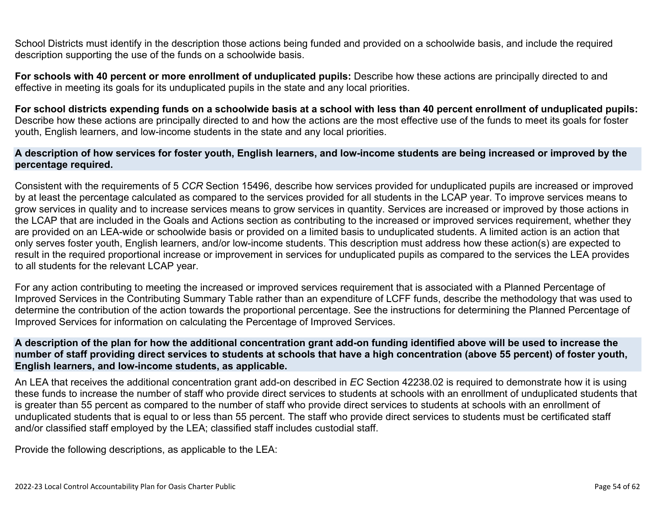School Districts must identify in the description those actions being funded and provided on a schoolwide basis, and include the required description supporting the use of the funds on a schoolwide basis.

**For schools with 40 percent or more enrollment of unduplicated pupils:** Describe how these actions are principally directed to and effective in meeting its goals for its unduplicated pupils in the state and any local priorities.

**For school districts expending funds on a schoolwide basis at a school with less than 40 percent enrollment of unduplicated pupils:** Describe how these actions are principally directed to and how the actions are the most effective use of the funds to meet its goals for foster youth, English learners, and low-income students in the state and any local priorities.

#### **A description of how services for foster youth, English learners, and low-income students are being increased or improved by the percentage required.**

Consistent with the requirements of 5 *CCR* Section 15496, describe how services provided for unduplicated pupils are increased or improved by at least the percentage calculated as compared to the services provided for all students in the LCAP year. To improve services means to grow services in quality and to increase services means to grow services in quantity. Services are increased or improved by those actions in the LCAP that are included in the Goals and Actions section as contributing to the increased or improved services requirement, whether they are provided on an LEA-wide or schoolwide basis or provided on a limited basis to unduplicated students. A limited action is an action that only serves foster youth, English learners, and/or low-income students. This description must address how these action(s) are expected to result in the required proportional increase or improvement in services for unduplicated pupils as compared to the services the LEA provides to all students for the relevant LCAP year.

For any action contributing to meeting the increased or improved services requirement that is associated with a Planned Percentage of Improved Services in the Contributing Summary Table rather than an expenditure of LCFF funds, describe the methodology that was used to determine the contribution of the action towards the proportional percentage. See the instructions for determining the Planned Percentage of Improved Services for information on calculating the Percentage of Improved Services.

#### **A description of the plan for how the additional concentration grant add-on funding identified above will be used to increase the number of staff providing direct services to students at schools that have a high concentration (above 55 percent) of foster youth, English learners, and low-income students, as applicable.**

An LEA that receives the additional concentration grant add-on described in *EC* Section 42238.02 is required to demonstrate how it is using these funds to increase the number of staff who provide direct services to students at schools with an enrollment of unduplicated students that is greater than 55 percent as compared to the number of staff who provide direct services to students at schools with an enrollment of unduplicated students that is equal to or less than 55 percent. The staff who provide direct services to students must be certificated staff and/or classified staff employed by the LEA; classified staff includes custodial staff.

Provide the following descriptions, as applicable to the LEA: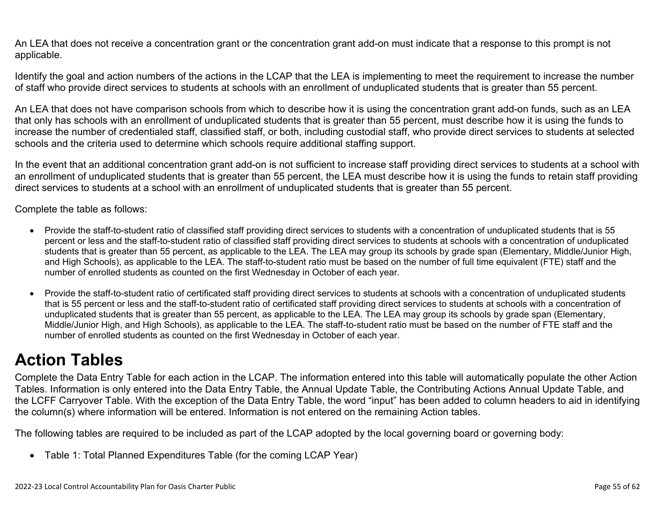An LEA that does not receive a concentration grant or the concentration grant add-on must indicate that a response to this prompt is not applicable.

Identify the goal and action numbers of the actions in the LCAP that the LEA is implementing to meet the requirement to increase the number of staff who provide direct services to students at schools with an enrollment of unduplicated students that is greater than 55 percent.

An LEA that does not have comparison schools from which to describe how it is using the concentration grant add-on funds, such as an LEA that only has schools with an enrollment of unduplicated students that is greater than 55 percent, must describe how it is using the funds to increase the number of credentialed staff, classified staff, or both, including custodial staff, who provide direct services to students at selected schools and the criteria used to determine which schools require additional staffing support.

In the event that an additional concentration grant add-on is not sufficient to increase staff providing direct services to students at a school with an enrollment of unduplicated students that is greater than 55 percent, the LEA must describe how it is using the funds to retain staff providing direct services to students at a school with an enrollment of unduplicated students that is greater than 55 percent.

Complete the table as follows:

- Provide the staff-to-student ratio of classified staff providing direct services to students with a concentration of unduplicated students that is 55 percent or less and the staff-to-student ratio of classified staff providing direct services to students at schools with a concentration of unduplicated students that is greater than 55 percent, as applicable to the LEA. The LEA may group its schools by grade span (Elementary, Middle/Junior High, and High Schools), as applicable to the LEA. The staff-to-student ratio must be based on the number of full time equivalent (FTE) staff and the number of enrolled students as counted on the first Wednesday in October of each year.
- Provide the staff-to-student ratio of certificated staff providing direct services to students at schools with a concentration of unduplicated students that is 55 percent or less and the staff-to-student ratio of certificated staff providing direct services to students at schools with a concentration of unduplicated students that is greater than 55 percent, as applicable to the LEA. The LEA may group its schools by grade span (Elementary, Middle/Junior High, and High Schools), as applicable to the LEA. The staff-to-student ratio must be based on the number of FTE staff and the number of enrolled students as counted on the first Wednesday in October of each year.

# **Action Tables**

Complete the Data Entry Table for each action in the LCAP. The information entered into this table will automatically populate the other Action Tables. Information is only entered into the Data Entry Table, the Annual Update Table, the Contributing Actions Annual Update Table, and the LCFF Carryover Table. With the exception of the Data Entry Table, the word "input" has been added to column headers to aid in identifying the column(s) where information will be entered. Information is not entered on the remaining Action tables.

The following tables are required to be included as part of the LCAP adopted by the local governing board or governing body:

• Table 1: Total Planned Expenditures Table (for the coming LCAP Year)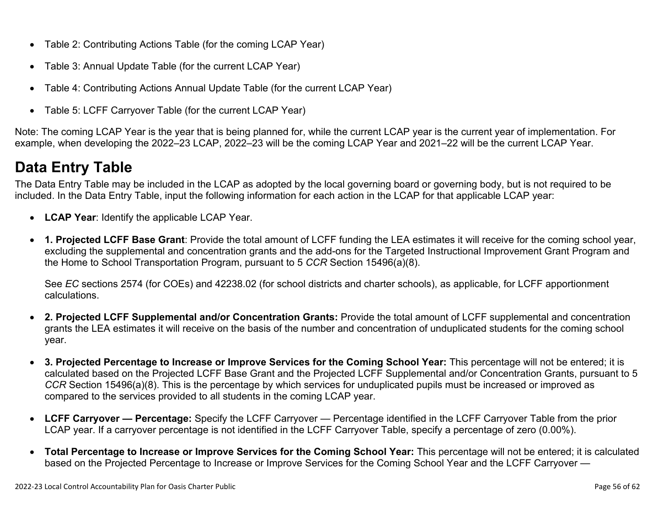- Table 2: Contributing Actions Table (for the coming LCAP Year)
- Table 3: Annual Update Table (for the current LCAP Year)
- Table 4: Contributing Actions Annual Update Table (for the current LCAP Year)
- Table 5: LCFF Carryover Table (for the current LCAP Year)

Note: The coming LCAP Year is the year that is being planned for, while the current LCAP year is the current year of implementation. For example, when developing the 2022–23 LCAP, 2022–23 will be the coming LCAP Year and 2021–22 will be the current LCAP Year.

# **Data Entry Table**

The Data Entry Table may be included in the LCAP as adopted by the local governing board or governing body, but is not required to be included. In the Data Entry Table, input the following information for each action in the LCAP for that applicable LCAP year:

- **LCAP Year**: Identify the applicable LCAP Year.
- **1. Projected LCFF Base Grant**: Provide the total amount of LCFF funding the LEA estimates it will receive for the coming school year, excluding the supplemental and concentration grants and the add-ons for the Targeted Instructional Improvement Grant Program and the Home to School Transportation Program, pursuant to 5 *CCR* Section 15496(a)(8).

See *EC* sections 2574 (for COEs) and 42238.02 (for school districts and charter schools), as applicable, for LCFF apportionment calculations.

- **2. Projected LCFF Supplemental and/or Concentration Grants:** Provide the total amount of LCFF supplemental and concentration grants the LEA estimates it will receive on the basis of the number and concentration of unduplicated students for the coming school year.
- **3. Projected Percentage to Increase or Improve Services for the Coming School Year:** This percentage will not be entered; it is calculated based on the Projected LCFF Base Grant and the Projected LCFF Supplemental and/or Concentration Grants, pursuant to 5 *CCR* Section 15496(a)(8). This is the percentage by which services for unduplicated pupils must be increased or improved as compared to the services provided to all students in the coming LCAP year.
- **LCFF Carryover Percentage:** Specify the LCFF Carryover Percentage identified in the LCFF Carryover Table from the prior LCAP year. If a carryover percentage is not identified in the LCFF Carryover Table, specify a percentage of zero (0.00%).
- **Total Percentage to Increase or Improve Services for the Coming School Year:** This percentage will not be entered; it is calculated based on the Projected Percentage to Increase or Improve Services for the Coming School Year and the LCFF Carryover —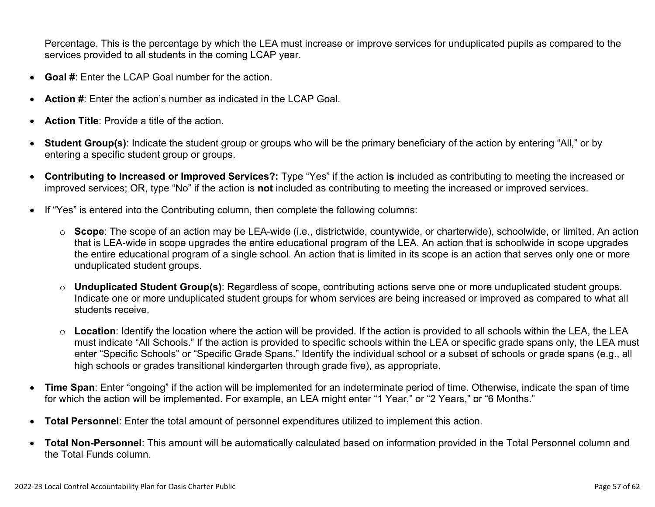Percentage. This is the percentage by which the LEA must increase or improve services for unduplicated pupils as compared to the services provided to all students in the coming LCAP year.

- **Goal #**: Enter the LCAP Goal number for the action.
- **Action #**: Enter the action's number as indicated in the LCAP Goal.
- **Action Title**: Provide a title of the action.
- **Student Group(s)**: Indicate the student group or groups who will be the primary beneficiary of the action by entering "All," or by entering a specific student group or groups.
- **Contributing to Increased or Improved Services?:** Type "Yes" if the action **is** included as contributing to meeting the increased or improved services; OR, type "No" if the action is **not** included as contributing to meeting the increased or improved services.
- If "Yes" is entered into the Contributing column, then complete the following columns:
	- o **Scope**: The scope of an action may be LEA-wide (i.e., districtwide, countywide, or charterwide), schoolwide, or limited. An action that is LEA-wide in scope upgrades the entire educational program of the LEA. An action that is schoolwide in scope upgrades the entire educational program of a single school. An action that is limited in its scope is an action that serves only one or more unduplicated student groups.
	- o **Unduplicated Student Group(s)**: Regardless of scope, contributing actions serve one or more unduplicated student groups. Indicate one or more unduplicated student groups for whom services are being increased or improved as compared to what all students receive.
	- o **Location**: Identify the location where the action will be provided. If the action is provided to all schools within the LEA, the LEA must indicate "All Schools." If the action is provided to specific schools within the LEA or specific grade spans only, the LEA must enter "Specific Schools" or "Specific Grade Spans." Identify the individual school or a subset of schools or grade spans (e.g., all high schools or grades transitional kindergarten through grade five), as appropriate.
- **Time Span**: Enter "ongoing" if the action will be implemented for an indeterminate period of time. Otherwise, indicate the span of time for which the action will be implemented. For example, an LEA might enter "1 Year," or "2 Years," or "6 Months."
- **Total Personnel**: Enter the total amount of personnel expenditures utilized to implement this action.
- **Total Non-Personnel**: This amount will be automatically calculated based on information provided in the Total Personnel column and the Total Funds column.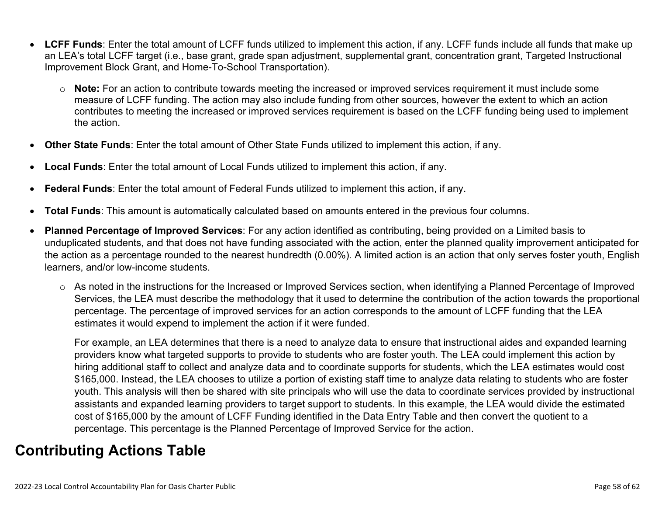- **LCFF Funds**: Enter the total amount of LCFF funds utilized to implement this action, if any. LCFF funds include all funds that make up an LEA's total LCFF target (i.e., base grant, grade span adjustment, supplemental grant, concentration grant, Targeted Instructional Improvement Block Grant, and Home-To-School Transportation).
	- o **Note:** For an action to contribute towards meeting the increased or improved services requirement it must include some measure of LCFF funding. The action may also include funding from other sources, however the extent to which an action contributes to meeting the increased or improved services requirement is based on the LCFF funding being used to implement the action.
- **Other State Funds**: Enter the total amount of Other State Funds utilized to implement this action, if any.
- **Local Funds**: Enter the total amount of Local Funds utilized to implement this action, if any.
- **Federal Funds**: Enter the total amount of Federal Funds utilized to implement this action, if any.
- **Total Funds**: This amount is automatically calculated based on amounts entered in the previous four columns.
- **Planned Percentage of Improved Services**: For any action identified as contributing, being provided on a Limited basis to unduplicated students, and that does not have funding associated with the action, enter the planned quality improvement anticipated for the action as a percentage rounded to the nearest hundredth (0.00%). A limited action is an action that only serves foster youth, English learners, and/or low-income students.
	- o As noted in the instructions for the Increased or Improved Services section, when identifying a Planned Percentage of Improved Services, the LEA must describe the methodology that it used to determine the contribution of the action towards the proportional percentage. The percentage of improved services for an action corresponds to the amount of LCFF funding that the LEA estimates it would expend to implement the action if it were funded.

For example, an LEA determines that there is a need to analyze data to ensure that instructional aides and expanded learning providers know what targeted supports to provide to students who are foster youth. The LEA could implement this action by hiring additional staff to collect and analyze data and to coordinate supports for students, which the LEA estimates would cost \$165,000. Instead, the LEA chooses to utilize a portion of existing staff time to analyze data relating to students who are foster youth. This analysis will then be shared with site principals who will use the data to coordinate services provided by instructional assistants and expanded learning providers to target support to students. In this example, the LEA would divide the estimated cost of \$165,000 by the amount of LCFF Funding identified in the Data Entry Table and then convert the quotient to a percentage. This percentage is the Planned Percentage of Improved Service for the action.

## **Contributing Actions Table**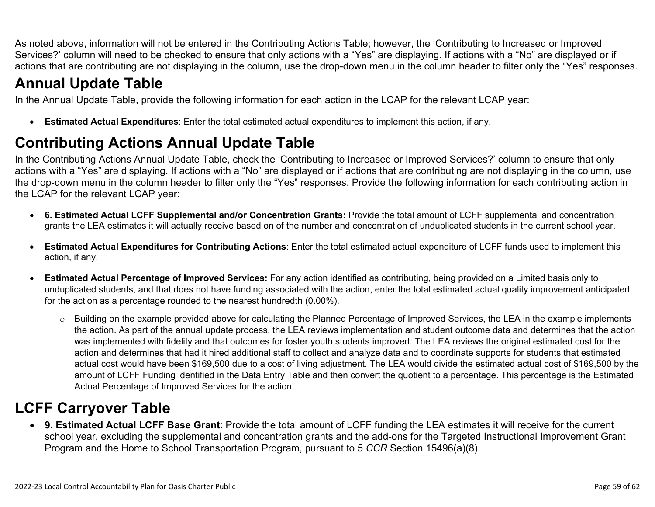As noted above, information will not be entered in the Contributing Actions Table; however, the 'Contributing to Increased or Improved Services?' column will need to be checked to ensure that only actions with a "Yes" are displaying. If actions with a "No" are displayed or if actions that are contributing are not displaying in the column, use the drop-down menu in the column header to filter only the "Yes" responses.

# **Annual Update Table**

In the Annual Update Table, provide the following information for each action in the LCAP for the relevant LCAP year:

• **Estimated Actual Expenditures**: Enter the total estimated actual expenditures to implement this action, if any.

# **Contributing Actions Annual Update Table**

In the Contributing Actions Annual Update Table, check the 'Contributing to Increased or Improved Services?' column to ensure that only actions with a "Yes" are displaying. If actions with a "No" are displayed or if actions that are contributing are not displaying in the column, use the drop-down menu in the column header to filter only the "Yes" responses. Provide the following information for each contributing action in the LCAP for the relevant LCAP year:

- **6. Estimated Actual LCFF Supplemental and/or Concentration Grants:** Provide the total amount of LCFF supplemental and concentration grants the LEA estimates it will actually receive based on of the number and concentration of unduplicated students in the current school year.
- **Estimated Actual Expenditures for Contributing Actions**: Enter the total estimated actual expenditure of LCFF funds used to implement this action, if any.
- **Estimated Actual Percentage of Improved Services:** For any action identified as contributing, being provided on a Limited basis only to unduplicated students, and that does not have funding associated with the action, enter the total estimated actual quality improvement anticipated for the action as a percentage rounded to the nearest hundredth (0.00%).
	- o Building on the example provided above for calculating the Planned Percentage of Improved Services, the LEA in the example implements the action. As part of the annual update process, the LEA reviews implementation and student outcome data and determines that the action was implemented with fidelity and that outcomes for foster youth students improved. The LEA reviews the original estimated cost for the action and determines that had it hired additional staff to collect and analyze data and to coordinate supports for students that estimated actual cost would have been \$169,500 due to a cost of living adjustment. The LEA would divide the estimated actual cost of \$169,500 by the amount of LCFF Funding identified in the Data Entry Table and then convert the quotient to a percentage. This percentage is the Estimated Actual Percentage of Improved Services for the action.

# **LCFF Carryover Table**

• **9. Estimated Actual LCFF Base Grant**: Provide the total amount of LCFF funding the LEA estimates it will receive for the current school year, excluding the supplemental and concentration grants and the add-ons for the Targeted Instructional Improvement Grant Program and the Home to School Transportation Program, pursuant to 5 *CCR* Section 15496(a)(8).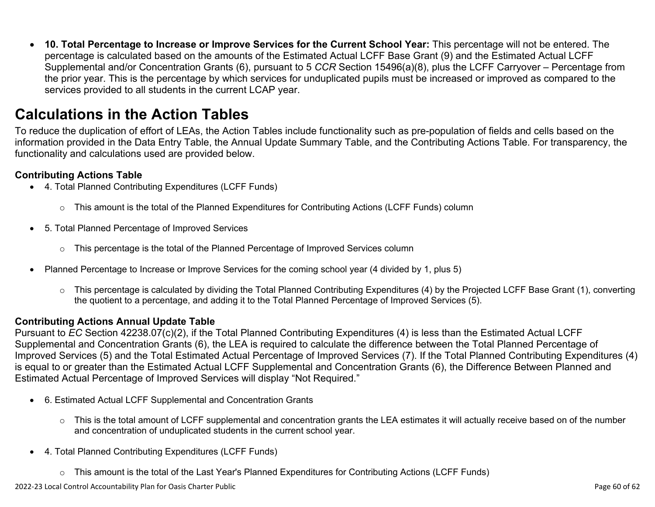• **10. Total Percentage to Increase or Improve Services for the Current School Year:** This percentage will not be entered. The percentage is calculated based on the amounts of the Estimated Actual LCFF Base Grant (9) and the Estimated Actual LCFF Supplemental and/or Concentration Grants (6), pursuant to 5 *CCR* Section 15496(a)(8), plus the LCFF Carryover – Percentage from the prior year. This is the percentage by which services for unduplicated pupils must be increased or improved as compared to the services provided to all students in the current LCAP year.

## **Calculations in the Action Tables**

To reduce the duplication of effort of LEAs, the Action Tables include functionality such as pre-population of fields and cells based on the information provided in the Data Entry Table, the Annual Update Summary Table, and the Contributing Actions Table. For transparency, the functionality and calculations used are provided below.

#### **Contributing Actions Table**

- 4. Total Planned Contributing Expenditures (LCFF Funds)
	- $\circ$  This amount is the total of the Planned Expenditures for Contributing Actions (LCFF Funds) column
- 5. Total Planned Percentage of Improved Services
	- $\circ$  This percentage is the total of the Planned Percentage of Improved Services column
- Planned Percentage to Increase or Improve Services for the coming school year (4 divided by 1, plus 5)
	- o This percentage is calculated by dividing the Total Planned Contributing Expenditures (4) by the Projected LCFF Base Grant (1), converting the quotient to a percentage, and adding it to the Total Planned Percentage of Improved Services (5).

#### **Contributing Actions Annual Update Table**

Pursuant to *EC* Section 42238.07(c)(2), if the Total Planned Contributing Expenditures (4) is less than the Estimated Actual LCFF Supplemental and Concentration Grants (6), the LEA is required to calculate the difference between the Total Planned Percentage of Improved Services (5) and the Total Estimated Actual Percentage of Improved Services (7). If the Total Planned Contributing Expenditures (4) is equal to or greater than the Estimated Actual LCFF Supplemental and Concentration Grants (6), the Difference Between Planned and Estimated Actual Percentage of Improved Services will display "Not Required."

- 6. Estimated Actual LCFF Supplemental and Concentration Grants
	- o This is the total amount of LCFF supplemental and concentration grants the LEA estimates it will actually receive based on of the number and concentration of unduplicated students in the current school year.
- 4. Total Planned Contributing Expenditures (LCFF Funds)
	- $\circ$  This amount is the total of the Last Year's Planned Expenditures for Contributing Actions (LCFF Funds)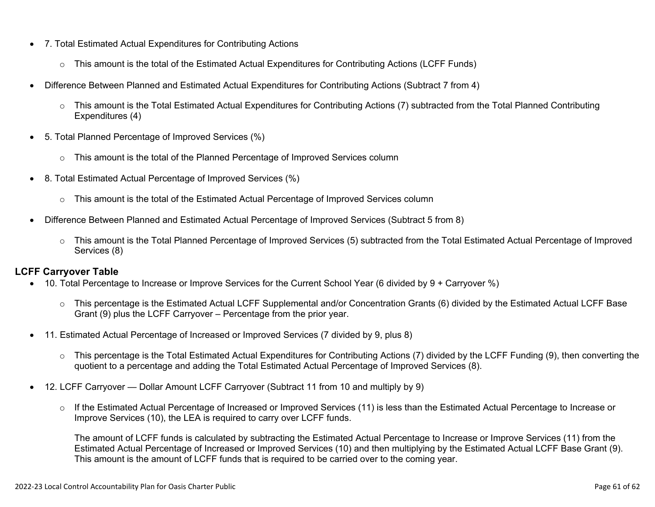- 7. Total Estimated Actual Expenditures for Contributing Actions
	- o This amount is the total of the Estimated Actual Expenditures for Contributing Actions (LCFF Funds)
- Difference Between Planned and Estimated Actual Expenditures for Contributing Actions (Subtract 7 from 4)
	- $\circ$  This amount is the Total Estimated Actual Expenditures for Contributing Actions (7) subtracted from the Total Planned Contributing Expenditures (4)
- 5. Total Planned Percentage of Improved Services (%)
	- $\circ$  This amount is the total of the Planned Percentage of Improved Services column
- 8. Total Estimated Actual Percentage of Improved Services (%)
	- o This amount is the total of the Estimated Actual Percentage of Improved Services column
- Difference Between Planned and Estimated Actual Percentage of Improved Services (Subtract 5 from 8)
	- o This amount is the Total Planned Percentage of Improved Services (5) subtracted from the Total Estimated Actual Percentage of Improved Services (8)

#### **LCFF Carryover Table**

- 10. Total Percentage to Increase or Improve Services for the Current School Year (6 divided by 9 + Carryover %)
	- $\circ$  This percentage is the Estimated Actual LCFF Supplemental and/or Concentration Grants (6) divided by the Estimated Actual LCFF Base Grant (9) plus the LCFF Carryover – Percentage from the prior year.
- 11. Estimated Actual Percentage of Increased or Improved Services (7 divided by 9, plus 8)
	- o This percentage is the Total Estimated Actual Expenditures for Contributing Actions (7) divided by the LCFF Funding (9), then converting the quotient to a percentage and adding the Total Estimated Actual Percentage of Improved Services (8).
- 12. LCFF Carryover Dollar Amount LCFF Carryover (Subtract 11 from 10 and multiply by 9)
	- $\circ$  If the Estimated Actual Percentage of Increased or Improved Services (11) is less than the Estimated Actual Percentage to Increase or Improve Services (10), the LEA is required to carry over LCFF funds.

The amount of LCFF funds is calculated by subtracting the Estimated Actual Percentage to Increase or Improve Services (11) from the Estimated Actual Percentage of Increased or Improved Services (10) and then multiplying by the Estimated Actual LCFF Base Grant (9). This amount is the amount of LCFF funds that is required to be carried over to the coming year.